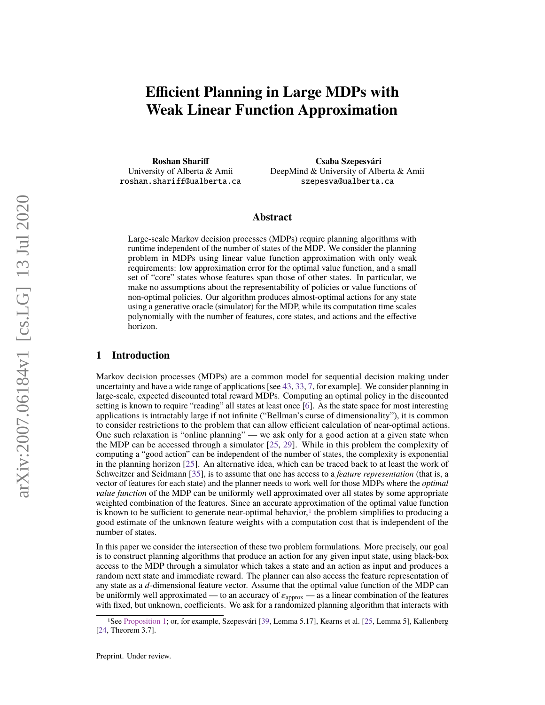# **Efficient Planning in Large MDPs with Weak Linear Function Approximation**

**Roshan Shariff** University of Alberta & Amii [roshan.shariff@ualberta.ca](mailto:roshan.shariff@ualberta.ca)

**Csaba Szepesvári** DeepMind & University of Alberta & Amii [szepesva@ualberta.ca](mailto:szepesva@ualberta.ca)

# **Abstract**

Large-scale Markov decision processes (MDPs) require planning algorithms with runtime independent of the number of states of the MDP. We consider the planning problem in MDPs using linear value function approximation with only weak requirements: low approximation error for the optimal value function, and a small set of "core" states whose features span those of other states. In particular, we make no assumptions about the representability of policies or value functions of non-optimal policies. Our algorithm produces almost-optimal actions for any state using a generative oracle (simulator) for the MDP, while its computation time scales polynomially with the number of features, core states, and actions and the effective horizon.

## **1 Introduction**

Markov decision processes (MDPs) are a common model for sequential decision making under uncertainty and have a wide range of applications [see [43,](#page-11-0) [33,](#page-10-0) [7,](#page-9-0) for example]. We consider planning in large-scale, expected discounted total reward MDPs. Computing an optimal policy in the discounted setting is known to require "reading" all states at least once [\[6\]](#page-9-1). As the state space for most interesting applications is intractably large if not infinite ("Bellman's curse of dimensionality"), it is common to consider restrictions to the problem that can allow efficient calculation of near-optimal actions. One such relaxation is "online planning" — we ask only for a good action at a given state when the MDP can be accessed through a simulator [\[25,](#page-10-1) [29\]](#page-10-2). While in this problem the complexity of computing a "good action" can be independent of the number of states, the complexity is exponential in the planning horizon [\[25\]](#page-10-1). An alternative idea, which can be traced back to at least the work of Schweitzer and Seidmann [\[35\]](#page-10-3), is to assume that one has access to a *feature representation* (that is, a vector of features for each state) and the planner needs to work well for those MDPs where the *optimal value function* of the MDP can be uniformly well approximated over all states by some appropriate weighted combination of the features. Since an accurate approximation of the optimal value function is known to be sufficient to generate near-optimal behavior, $\frac{1}{1}$  $\frac{1}{1}$  $\frac{1}{1}$  the problem simplifies to producing a good estimate of the unknown feature weights with a computation cost that is independent of the number of states.

In this paper we consider the intersection of these two problem formulations. More precisely, our goal is to construct planning algorithms that produce an action for any given input state, using black-box access to the MDP through a simulator which takes a state and an action as input and produces a random next state and immediate reward. The planner can also access the feature representation of any state as a *d*-dimensional feature vector. Assume that the optimal value function of the MDP can be uniformly well approximated — to an accuracy of  $\varepsilon_{\text{approx}}$  — as a linear combination of the features with fixed, but unknown, coefficients. We ask for a randomized planning algorithm that interacts with

<span id="page-0-0"></span><sup>1</sup>See [Proposition 1;](#page-3-0) or, for example, Szepesvári [\[39,](#page-11-1) Lemma 5.17], Kearns et al. [\[25,](#page-10-1) Lemma 5], Kallenberg [\[24,](#page-10-4) Theorem 3.7].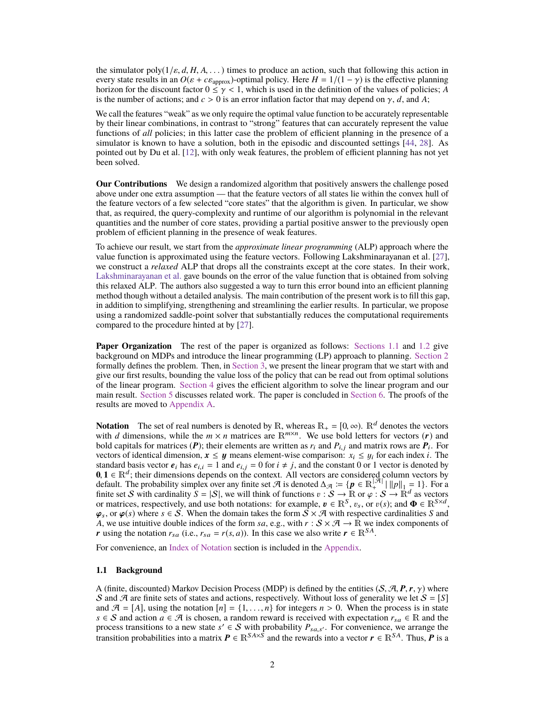the simulator poly( $1/\varepsilon$ , *d*, *H*, *A*, ...) times to produce an action, such that following this action in every state results in an  $O(\varepsilon + c \varepsilon_{\text{approx}})$ -optimal policy. Here  $H = 1/(1 - \gamma)$  is the effective planning horizon for the discount factor  $0 \le \gamma < 1$ , which is used in the definition of the values of policies; *A* is the number of actions; and  $c > 0$  is an error inflation factor that may depend on  $\gamma$ , *d*, and *A*;

We call the features "weak" as we only require the optimal value function to be accurately representable by their linear combinations, in contrast to "strong" features that can accurately represent the value functions of *all* policies; in this latter case the problem of efficient planning in the presence of a simulator is known to have a solution, both in the episodic and discounted settings [\[44,](#page-11-2) [28\]](#page-10-5). As pointed out by Du et al. [\[12\]](#page-9-2), with only weak features, the problem of efficient planning has not yet been solved.

**Our Contributions** We design a randomized algorithm that positively answers the challenge posed above under one extra assumption — that the feature vectors of all states lie within the convex hull of the feature vectors of a few selected "core states" that the algorithm is given. In particular, we show that, as required, the query-complexity and runtime of our algorithm is polynomial in the relevant quantities and the number of core states, providing a partial positive answer to the previously open problem of efficient planning in the presence of weak features.

To achieve our result, we start from the *approximate linear programming* (ALP) approach where the value function is approximated using the feature vectors. Following Lakshminarayanan et al. [\[27\]](#page-10-6), we construct a *relaxed* ALP that drops all the constraints except at the core states. In their work, [Lakshminarayanan et al.](#page-10-6) gave bounds on the error of the value function that is obtained from solving this relaxed ALP. The authors also suggested a way to turn this error bound into an efficient planning method though without a detailed analysis. The main contribution of the present work is to fill this gap, in addition to simplifying, strengthening and streamlining the earlier results. In particular, we propose using a randomized saddle-point solver that substantially reduces the computational requirements compared to the procedure hinted at by [\[27\]](#page-10-6).

**Paper Organization** The rest of the paper is organized as follows: [Sections 1.1](#page-1-0) and [1.2](#page-2-0) give background on MDPs and introduce the linear programming (LP) approach to planning. [Section 2](#page-2-1) formally defines the problem. Then, in [Section 3,](#page-3-1) we present the linear program that we start with and give our first results, bounding the value loss of the policy that can be read out from optimal solutions of the linear program. [Section 4](#page-5-0) gives the efficient algorithm to solve the linear program and our main result. [Section 5](#page-6-0) discusses related work. The paper is concluded in [Section 6.](#page-8-0) The proofs of the results are moved to [Appendix A.](#page-12-0)

**Notation** The set of real numbers is denoted by R, whereas  $\mathbb{R}_+ = [0, \infty)$ .  $\mathbb{R}^d$  denotes the vectors with *d* dimensions, while the  $m \times n$  matrices are  $\mathbb{R}^{m \times n}$ . We use bold letters for vectors (*r*) and bold capitals for matrices (P); their elements are written as  $r_i$  and  $P_{i,j}$  and matrix rows are  $P_i$ . For each index *i* The vectors of identical dimension,  $x \le y$  means element-wise comparison:  $x_i \le y_i$  for each index *i*. The standard basis vector *e*<sub>i</sub> has  $e_{i,j} = 1$  and  $e_{i,j} = 0$  for  $i \ne i$  and the constant 0 or 1 vector is denoted by standard basis vector  $e_i$  has  $e_{i,i} = 1$  and  $e_{i,j} = 0$  for  $i \neq j$ , and the constant 0 or 1 vector is denoted by<br>0.1  $\in \mathbb{R}^d$ , their dimensions denoted on the context. All vectors are considered column vectors by **0**, **1** ∈  $\mathbb{R}^d$ ; their dimensions depends on the context. All vectors are considered column vectors by default. The probability simplex over any finite set  $\mathcal{A}$  is denoted  $\Delta_{\mathcal{A}} := \{ \mathbf{p} \in \mathbb{R}^{|\mathcal{A}|} | ||\$ default. The probability simplex over any finite set A is denoted  $\Delta_{\mathcal{A}} := \{p \in \mathbb{R}^{\mathcal{A}}_+ | ||p||_1 = 1\}$ . For a finite set S with cardinality  $S = |S|$ , we will think of functions  $v : \mathcal{S} \to \mathbb{R}$  or  $\varphi : S \to \mathbb{R}^d$  as vectors or matrices respectively and use both notations: for example  $p \in \mathbb{R}^S$   $p_{\phi}$  or  $p(s)$ ; and  $\mathbf{\Phi}$ or matrices, respectively, and use both notations: for example,  $v \in \mathbb{R}^S$ ,  $v_s$ , or  $v(s)$ ; and  $\Phi \in \mathbb{R}^{S \times d}$ ,  $\varphi_s$ , or  $\varphi(s)$  where  $s \in S$ . When the domain takes the form  $S \times \mathcal{A}$  with respective cardinalit  $\varphi_s$ , or  $\varphi(s)$  where  $s \in S$ . When the domain takes the form  $\mathcal{S} \times \mathcal{A}$  with respective cardinalities *S* and *A*, we use intuitive double indices of the form *sa*, e.g., with  $r : S \times A \to \mathbb{R}$  we index components of *r* using the notation  $r_{sa}$  (i.e.,  $r_{sa} = r(s, a)$ ). In this case we also write  $r \in \mathbb{R}^{SA}$ .

For convenience, an [Index of Notation](#page-12-1) section is included in the [Appendix.](#page-12-2)

#### <span id="page-1-0"></span>**1.1 Background**

A (finite, discounted) Markov Decision Process (MDP) is defined by the entities  $(S, \mathcal{A}, P, r, \gamma)$  where S and A are finite sets of states and actions, respectively. Without loss of generality we let  $S = [S]$ and  $\mathcal{A} = [A]$ , using the notation  $[n] = \{1, \ldots, n\}$  for integers  $n > 0$ . When the process is in state *s* ∈ *S* and action *a* ∈ *A* is chosen, a random reward is received with expectation  $r_{sa}$  ∈ R and the process transitions to a new state  $s' \in S$  with probability  $P_{s,a,s'}$ . For convenience, we arrange the transition probabilities into a metrix  $P \subseteq \mathbb{R}^{SAS}$  and the powerds into a vector  $\mathbf{r} \in \mathbb{R}^{SA}$ . Thus,  $P$  is transition probabilities into a matrix  $\bm{P} \in \mathbb{R}^{S A \times \bar{S}}$  and the rewards into a vector  $\bm{r} \in \mathbb{R}^{S A}$ . Thus,  $\bm{P}$  is a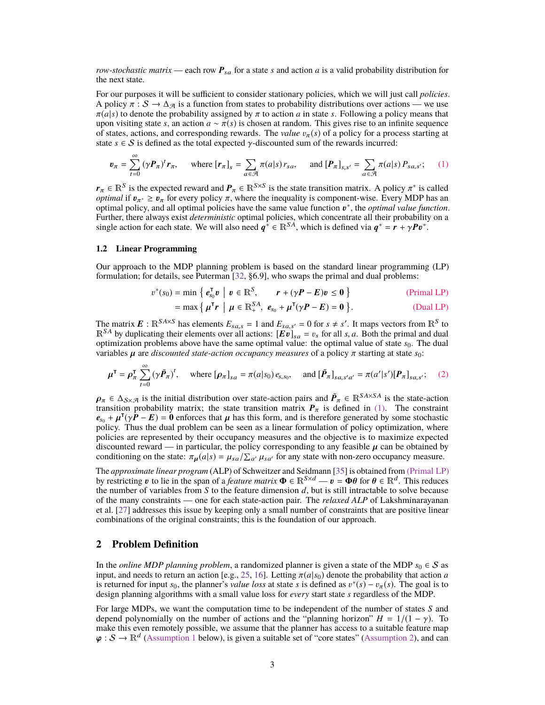*row-stochastic matrix* — each row  $P_{sa}$  for a state *s* and action *a* is a valid probability distribution for the next state.

For our purposes it will be sufficient to consider stationary policies, which we will just call *policies*. A policy  $\pi : S \to \Delta_{\mathcal{A}}$  is a function from states to probability distributions over actions — we use  $\pi(a|s)$  to denote the probability assigned by  $\pi$  to action *a* in state *s*. Following a policy means that upon visiting state *s*, an action  $a \sim \pi(s)$  is chosen at random. This gives rise to an infinite sequence of states, actions, and corresponding rewards. The *value*  $v_\tau(s)$  of a policy for a process starting at state  $s \in S$  is defined as the total expected  $\gamma$ -discounted sum of the rewards incurred:

$$
\boldsymbol{v}_{\pi} = \sum_{t=0}^{\infty} (\gamma \boldsymbol{P}_{\pi})^{t} \boldsymbol{r}_{\pi}, \quad \text{where } [\boldsymbol{r}_{\pi}]_{s} = \sum_{a \in \mathcal{A}} \pi(a|s) \, r_{sa}, \quad \text{and } [\boldsymbol{P}_{\pi}]_{s,s'} = \sum_{a \in \mathcal{A}} \pi(a|s) \, P_{sa,s'}; \quad (1)
$$

 $r_{\pi} \in \mathbb{R}^{S}$  is the expected reward and  $P_{\pi} \in \mathbb{R}^{S \times S}$  is the state transition matrix. A policy  $\pi^*$  is called *optimal* if  $p_{\pi^*} > p_{\pi}$  for every policy  $\pi$  where the inequality is component-wise. Ever *optimal* if  $v_{\pi^*} \ge v_{\pi}$  for every policy  $\pi$ , where the inequality is component-wise. Every MDP has an optimal policy and all optimal policies have the same value function  $v^*$  the *optimal value function* optimal policy, and all optimal policies have the same value function  $v^*$ , the *optimal value function*.<br>Further there always exist *deterministic* optimal policies which concentrate all their probability on a Further, there always exist *deterministic* optimal policies, which concentrate all their probability on a single action for each state. We will also need  $q^* \in \mathbb{R}^{SA}$ , which is defined via  $q^* = r + \gamma P v^*$ .

### <span id="page-2-0"></span>**1.2 Linear Programming**

Our approach to the MDP planning problem is based on the standard linear programming (LP) formulation; for details, see Puterman [\[32,](#page-10-7) §6.9], who swaps the primal and dual problems:

$$
v^*(s_0) = \min \left\{ e_{s_0}^{\mathsf{T}} v \mid v \in \mathbb{R}^S, \qquad \mathbf{r} + (\gamma \mathbf{P} - \mathbf{E}) v \le \mathbf{0} \right\} \tag{Primal LP}
$$

<span id="page-2-5"></span><span id="page-2-4"></span><span id="page-2-3"></span><span id="page-2-2"></span>
$$
= \max \left\{ \mu^{\mathsf{T}} r \mid \mu \in \mathbb{R}_{+}^{SA}, \ e_{s_0} + \mu^{\mathsf{T}} (\gamma P - E) = 0 \right\}.
$$
 (Dual LP)

The matrix  $\mathbf{E}$ :  $\mathbb{R}^{SAS}$  has elements  $E_{s,a,s} = 1$  and  $E_{s,a,s'} = 0$  for  $s \neq s'$ . It maps vectors from  $\mathbb{R}^{S}$  to  $\mathbb{R}^{SAS}$  by duplicating their elements over all actions:  $\mathbb{R}^{S1}$   $\equiv n$  for all s a. Bot  $\mathbb{R}^{SA}$  by duplicating their elements over all actions:  $[\mathbf{E}\vec{v}]_{sa} = v_s$  for all *s*, *a*. Both the primal and dual optimization problems above have the same optimal value: the optimal value of state  $s<sub>0</sub>$ . The dual variables  $\mu$  are *discounted state-action occupancy measures* of a policy  $\pi$  starting at state  $s_0$ :

$$
\mu^{\mathsf{T}} = \rho_{\pi}^{\mathsf{T}} \sum_{t=0}^{\infty} (\gamma \tilde{P}_{\pi})^{t}, \quad \text{where } [\rho_{\pi}]_{sa} = \pi(a|s_{0}) e_{s,s_{0}}, \quad \text{and } [\tilde{P}_{\pi}]_{sa,s'a'} = \pi(a'|s')[P_{\pi}]_{sa,s'}; \quad (2)
$$

 $\rho_{\pi} \in \Delta_{S \times \mathcal{A}}$  is the initial distribution over state-action pairs and  $\tilde{P}_{\pi} \in \mathbb{R}^{S A \times S A}$  is the state-action transition probability matrix: the state transition matrix  $P_{\pi}$  is defined in (1). The cons transition probability matrix; the state transition matrix  $P_{\pi}$  is defined in [\(1\).](#page-2-2) The constraint  $e_{s_0} + \mu^{\mathsf{T}}(\gamma P - E) = 0$  enforces that  $\mu$  has this form, and is therefore generated by some stochastic policy. Thus the dual problem can be seen as a linear formulation of policy optimization, where policy. Thus the dual problem can be seen as a linear formulation of policy optimization, where policies are represented by their occupancy measures and the objective is to maximize expected discounted reward — in particular, the policy corresponding to any feasible  $\mu$  can be obtained by conditioning on the state:  $\pi_{\mu}(a|s) = \mu_{sa}/\sum_{a'} \mu_{sa'}$  for any state with non-zero occupancy measure.

The *approximate linear program* (ALP) of Schweitzer and Seidmann [\[35\]](#page-10-3) is obtained from [\(Primal LP\)](#page-2-3) by restricting v to lie in the span of a *feature matrix*  $\mathbf{\Phi} \in \mathbb{R}^{S \times d} - v = \mathbf{\Phi}\theta$  for  $\theta \in \mathbb{R}^d$ . This reduces the number of variables from S to the feature dimension d but is still intractable to solve becau the number of variables from *S* to the feature dimension *d*, but is still intractable to solve because of the many constraints — one for each state-action pair. The *relaxed ALP* of Lakshminarayanan et al. [\[27\]](#page-10-6) addresses this issue by keeping only a small number of constraints that are positive linear combinations of the original constraints; this is the foundation of our approach.

## <span id="page-2-1"></span>**2 Problem Definition**

In the *online MDP planning problem*, a randomized planner is given a state of the MDP  $s_0 \in S$  as input, and needs to return an action [e.g., [25,](#page-10-1) [16\]](#page-10-8). Letting  $\pi(a|s_0)$  denote the probability that action *a* is returned for input  $s_0$ , the planner's *value loss* at state *s* is defined as  $v^*(s) - v_\pi(s)$ . The goal is to design planning algorithms with a small value loss for *every* start state *s* regardless of the MDP design planning algorithms with a small value loss for *every* start state *s* regardless of the MDP.

For large MDPs, we want the computation time to be independent of the number of states *S* and depend polynomially on the number of actions and the "planning horizon"  $H = 1/(1 - \gamma)$ . To make this even remotely possible, we assume that the planner has access to a suitable feature map  $\varphi : S \to \mathbb{R}^d$  [\(Assumption 1](#page-3-2) below), is given a suitable set of "core states" [\(Assumption 2\)](#page-3-3), and can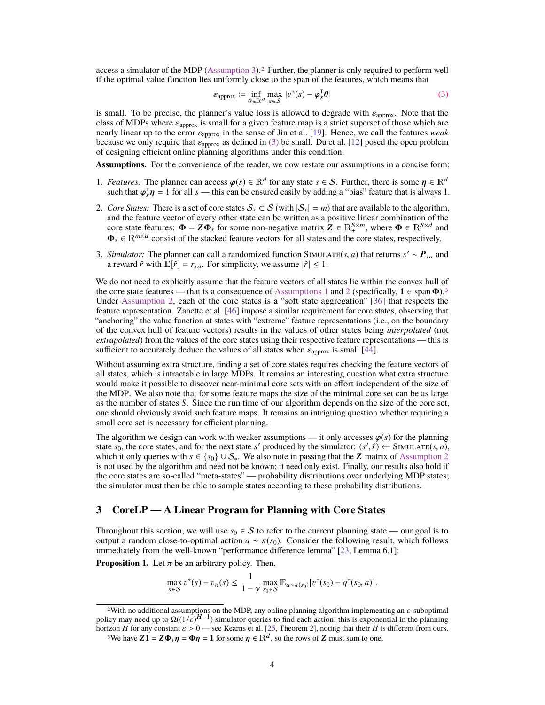access a simulator of the MDP [\(Assumption 3\)](#page-3-4).[2](#page-3-5) Further, the planner is only required to perform well if the optimal value function lies uniformly close to the span of the features, which means that

<span id="page-3-6"></span>
$$
\varepsilon_{\text{approx}} \coloneqq \inf_{\boldsymbol{\theta} \in \mathbb{R}^d} \max_{s \in \mathcal{S}} |v^*(s) - \boldsymbol{\varphi}_s^{\mathsf{T}} \boldsymbol{\theta}| \tag{3}
$$

is small. To be precise, the planner's value loss is allowed to degrade with  $\varepsilon_{\text{approx}}$ . Note that the class of MDPs where  $\varepsilon_{\text{energy}}$  is small for a given feature man is a strict superset of those which are class of MDPs where  $\varepsilon_{\text{approx}}$  is small for a given feature map is a strict superset of those which are nearly linear up to the error <sup>ε</sup>approx in the sense of Jin et al. [\[19\]](#page-10-9). Hence, we call the features *weak* because we only require that  $\varepsilon_{\text{approx}}$  as defined in [\(3\)](#page-3-6) be small. Du et al. [\[12\]](#page-9-2) posed the open problem of designing efficient online planning algorithms under this condition.

**Assumptions.** For the convenience of the reader, we now restate our assumptions in a concise form:

- <span id="page-3-2"></span>1. *Features:* The planner can access  $\varphi(s) \in \mathbb{R}^d$  for any state  $s \in S$ . Further, there is some  $\eta \in \mathbb{R}^d$  such that  $\varphi^{\intercal} \eta = 1$  for all  $s =$  this can be ensured easily by adding a "bias" feature that is alwa such that  $\varphi_s^T \eta = 1$  for all *s* — this can be ensured easily by adding a "bias" feature that is always 1.
- <span id="page-3-3"></span>2. *Core States:* There is a set of core states  $S_* \subset S$  (with  $|S_*| = m$ ) that are available to the algorithm, and the feature vector of every other state can be written as a positive linear combination of the core state features:  $\mathbf{\Phi} = \mathbf{Z} \mathbf{\Phi}_{*}$  for some non-negative matrix  $\mathbf{Z} \in \mathbb{R}_{+}^{S \times m}$ , where  $\mathbf{\Phi} \in \mathbb{R}^{S \times d}$  and  $\Phi_* \in \mathbb{R}^{m \times d}$  consist of the stacked feature vectors for all states and the core states, respectively.
- <span id="page-3-4"></span>3. *Simulator:* The planner can call a randomized function SIMULATE(*s*, *a*) that returns  $s' \sim P_{sa}$  and a reward  $\hat{r}$  with  $\mathbb{E}[\hat{r}] = r_{sa}$ . For simplicity we assume  $|\hat{r}| \le 1$ a reward  $\hat{r}$  with  $\mathbb{E}[\hat{r}] = r_{sa}$ . For simplicity, we assume  $|\hat{r}| \leq 1$ .

We do not need to explicitly assume that the feature vectors of all states lie within the convex hull of the core state features — that is a consequence of [Assumptions 1](#page-3-2) and [2](#page-3-3) (specifically,  $1 \in \text{span } \Phi$ ).<sup>[3](#page-3-7)</sup> Under [Assumption 2,](#page-3-3) each of the core states is a "soft state aggregation" [\[36\]](#page-11-3) that respects the feature representation. Zanette et al. [\[46\]](#page-11-4) impose a similar requirement for core states, observing that "anchoring" the value function at states with "extreme" feature representations (i.e., on the boundary of the convex hull of feature vectors) results in the values of other states being *interpolated* (not *extrapolated*) from the values of the core states using their respective feature representations — this is sufficient to accurately deduce the values of all states when  $\varepsilon_{\text{approx}}$  is small [\[44\]](#page-11-2).

Without assuming extra structure, finding a set of core states requires checking the feature vectors of all states, which is intractable in large MDPs. It remains an interesting question what extra structure would make it possible to discover near-minimal core sets with an effort independent of the size of the MDP. We also note that for some feature maps the size of the minimal core set can be as large as the number of states *S*. Since the run time of our algorithm depends on the size of the core set, one should obviously avoid such feature maps. It remains an intriguing question whether requiring a small core set is necessary for efficient planning.

The algorithm we design can work with weaker assumptions — it only accesses  $\varphi(s)$  for the planning state  $s_0$ , the core states, and for the next state *s'* produced by the simulator:  $(s', \hat{r}) \leftarrow \text{SIMULATE}(s, a)$ , which it only queries with  $s \in \{s_0\} \cup S$ . We also note in passing that the **Z** matrix of Assumption 2. which it only queries with  $s \in \{s_0\} \cup S_*$ . We also note in passing that the **Z** matrix of [Assumption 2](#page-3-3) is not used by the algorithm and need not be known; it need only exist. Finally, our results also hold if the core states are so-called "meta-states" — probability distributions over underlying MDP states; the simulator must then be able to sample states according to these probability distributions.

## <span id="page-3-1"></span>**3 CoreLP — A Linear Program for Planning with Core States**

Throughout this section, we will use  $s_0 \in S$  to refer to the current planning state — our goal is to output a random close-to-optimal action *<sup>a</sup>* <sup>∼</sup> π(*s*0). Consider the following result, which follows immediately from the well-known "performance difference lemma" [\[23,](#page-10-10) Lemma 6.1]:

<span id="page-3-0"></span>**Proposition 1.** Let  $\pi$  be an arbitrary policy. Then,

$$
\max_{s \in S} v^*(s) - v_\pi(s) \le \frac{1}{1 - \gamma} \max_{s_0 \in S} \mathbb{E}_{a \sim \pi(s_0)}[v^*(s_0) - q^*(s_0, a)].
$$

<span id="page-3-7"></span><span id="page-3-5"></span><sup>&</sup>lt;sup>2</sup>With no additional assumptions on the MDP, any online planning algorithm implementing an  $\varepsilon$ -suboptimal<br>icy may need up to  $O((1/\varepsilon)^{H-1})$  simulator queries to find each action; this is exponential in the planning policy may need up to  $\Omega((1/\varepsilon)^{H-1})$  simulator queries to find each action; this is exponential in the planning<br>horizon H for any constant  $\varepsilon > 0$  — see Kearns et al. [25] Theorem 21 noting that their H is different fr horizon *H* for any constant  $\varepsilon > 0$  — see Kearns et al. [\[25,](#page-10-1) Theorem 2], noting that their *H* is different from ours.<br><sup>3</sup>We have **71** – **70**  $\mathbf{n} = \mathbf{0}\mathbf{n} = 1$  for some  $\mathbf{n} \in \mathbb{R}^d$ , so the rows of **7** must sum <sup>3</sup>We have  $Z1 = Z\Phi_*\eta = \Phi\eta = 1$  for some  $\eta \in \mathbb{R}^d$ , so the rows of  $Z$  must sum to one.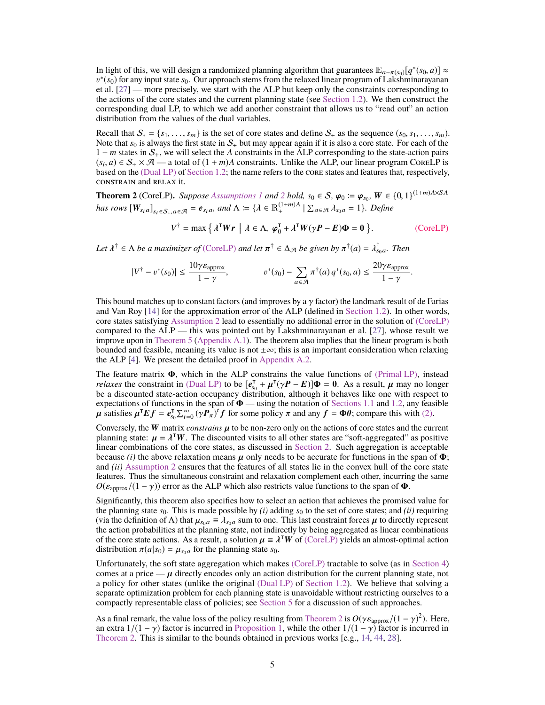In light of this, we will design a randomized planning algorithm that guarantees  $\mathbb{E}_{a \sim \pi(s_0)}[q^*(s_0, a)] \approx$ <br>*n*<sup>\*</sup>(so) for any input state so. Our approach stems from the relaxed linear program of Lakshminarayanan et al. [\[27\]](#page-10-6) — more precisely, we start with the ALP but keep only the constraints corresponding to ∗ (*s*0) for any input state *s*0. Our approach stems from the relaxed linear program of Lakshminarayanan the actions of the core states and the current planning state (see [Section 1.2\)](#page-2-0). We then construct the corresponding dual LP, to which we add another constraint that allows us to "read out" an action distribution from the values of the dual variables.

Recall that  $S_* = \{s_1, \ldots, s_m\}$  is the set of core states and define  $S_+$  as the sequence  $(s_0, s_1, \ldots, s_m)$ . Note that  $s_0$  is always the first state in  $S_+$  but may appear again if it is also a core state. For each of the  $1 + m$  states in  $S_+$ , we will select the *A* constraints in the ALP corresponding to the state-action pairs  $(s_i, a) \in S_+ \times \mathcal{A}$  — a total of  $(1 + m)A$  constraints. Unlike the ALP, our linear program CoreLP is based on the (Dual LP) of Section 1.2; the name refers to the core states and features that respectively based on the [\(Dual LP\)](#page-2-4) of [Section 1.2;](#page-2-0) the name refers to the core states and features that, respectively, constrain and relax it.

<span id="page-4-1"></span>**Theorem [2](#page-3-3)** (CoreLP). *Suppose [Assumptions 1](#page-3-2)* and 2 hold,  $s_0 \in S$ ,  $\varphi_0 := \varphi_{s_0}$ ,  $W \in \{0, 1\}^{(1+m)A \times SA}$ *has rows*  $[W_{s_i a}]_{s_i \in S_+, a \in \mathcal{A}} = e_{s_i a}$ *, and*  $\Lambda := \{ \lambda \in \mathbb{R}^{(1+m)A}_+ \mid \sum_{a \in \mathcal{A}} \lambda_{s_0 a} = 1 \}$ *. Define* 

<span id="page-4-0"></span>
$$
V^{\dagger} = \max \left\{ \lambda^{\mathsf{T}} W r \mid \lambda \in \Lambda, \, \boldsymbol{\varphi}_0^{\mathsf{T}} + \lambda^{\mathsf{T}} W (\gamma \boldsymbol{P} - \boldsymbol{E}) \boldsymbol{\Phi} = \boldsymbol{0} \right\}.
$$
 (CoreLP)

Let  $\lambda^{\dagger} \in \Lambda$  *be a maximizer of* [\(CoreLP\)](#page-4-0) *and let*  $\pi^{\dagger} \in \Delta_{\mathcal{A}}$  *be given by*  $\pi^{\dagger}(a) = \lambda_{s_0a}^{\dagger}$ . Then

$$
|V^{\dagger} - v^*(s_0)| \le \frac{10\gamma \varepsilon_{\text{approx}}}{1 - \gamma}, \qquad v^*(s_0) - \sum_{a \in \mathcal{A}} \pi^{\dagger}(a) q^*(s_0, a) \le \frac{20\gamma \varepsilon_{\text{approx}}}{1 - \gamma}.
$$

This bound matches up to constant factors (and improves by a  $\gamma$  factor) the landmark result of de Farias and Van Roy [\[14\]](#page-9-3) for the approximation error of the ALP (defined in [Section 1.2\)](#page-2-0). In other words, core states satisfying [Assumption 2](#page-3-3) lead to essentially no additional error in the solution of [\(CoreLP\)](#page-4-0) compared to the ALP — this was pointed out by Lakshminarayanan et al. [\[27\]](#page-10-6), whose result we improve upon in [Theorem 5](#page-12-3) [\(Appendix A.1\)](#page-12-4). The theorem also implies that the linear program is both bounded and feasible, meaning its value is not  $\pm \infty$ ; this is an important consideration when relaxing the ALP [\[4\]](#page-9-4). We present the detailed proof in [Appendix A.2.](#page-13-0)

The feature matrix  $\Phi$ , which in the ALP constrains the value functions of [\(Primal LP\),](#page-2-3) instead *relaxes* the constraint in [\(Dual LP\)](#page-2-4) to be  $[e_{s_0}^{\mathsf{T}} + \mu^{\mathsf{T}}(\gamma P - E)]\Phi = 0$ . As a result,  $\mu$  may no longer be a discounted state-action occupancy distribution, although it behaves like one with respect to expectations of functions in the span of  $\Phi$  — using the notation of [Sections 1.1](#page-1-0) and [1.2,](#page-2-0) any feasible **μ** satisfies  $\mu^T Ef = e_{s_0}^T \sum_{t=0}^{\infty} (\gamma P_{\pi})^t f$  for some policy π and any  $f = \Phi \theta$ ; compare this with [\(2\).](#page-2-5)

Conversely, the W matrix *constrains*  $\mu$  to be non-zero only on the actions of core states and the current planning state:  $\mu = \lambda^T W$ . The discounted visits to all other states are "soft-aggregated" as positive linear combinations of the core states as discussed in Section 2. Such aggregation is acceptable linear combinations of the core states, as discussed in [Section 2.](#page-2-1) Such aggregation is acceptable because *(i)* the above relaxation means  $\mu$  only needs to be accurate for functions in the span of  $\Phi$ ; and *(ii)* [Assumption 2](#page-3-3) ensures that the features of all states lie in the convex hull of the core state features. Thus the simultaneous constraint and relaxation complement each other, incurring the same  $O(\varepsilon_{\text{approx}}/(1-\gamma))$  error as the ALP which also restricts value functions to the span of  $\Phi$ .

Significantly, this theorem also specifies how to select an action that achieves the promised value for the planning state  $s_0$ . This is made possible by  $(i)$  adding  $s_0$  to the set of core states; and  $(ii)$  requiring (via the definition of  $\Lambda$ ) that  $\mu_{s_0a} \equiv \lambda_{s_0a}$  sum to one. This last constraint forces  $\mu$  to directly represent the action probabilities at the planning state, not indirectly by being aggregated as linear combinations of the core state actions. As a result, a solution  $\mu \equiv \lambda^{\mathsf{T}} W$  of [\(CoreLP\)](#page-4-0) yields an almost-optimal action distribution  $\pi(a|s_0) = \mu_{\alpha,\alpha}$  for the planning state so distribution  $\pi(a|s_0) = \mu_{s_0}$  for the planning state  $s_0$ .

Unfortunately, the soft state aggregation which makes [\(CoreLP\)](#page-4-0) tractable to solve (as in [Section 4\)](#page-5-0) comes at a price —  $\mu$  directly encodes only an action distribution for the current planning state, not a policy for other states (unlike the original [\(Dual LP\)](#page-2-4) of [Section 1.2\)](#page-2-0). We believe that solving a separate optimization problem for each planning state is unavoidable without restricting ourselves to a compactly representable class of policies; see [Section 5](#page-6-0) for a discussion of such approaches.

As a final remark, the value loss of the policy resulting from [Theorem 2](#page-4-1) is  $O(\gamma \varepsilon_{\text{approx}}/(1-\gamma)^2)$ . Here, an extra  $1/(1-\gamma)$  factor is incurred in Proposition 1, while the other  $1/(1-\gamma)$  factor is incurred in an extra  $1/(1 - \gamma)$  factor is incurred in [Proposition 1,](#page-3-0) while the other  $1/(1 - \gamma)$  factor is incurred in [Theorem 2.](#page-4-1) This is similar to the bounds obtained in previous works [e.g., [14,](#page-9-3) [44,](#page-11-2) [28\]](#page-10-5).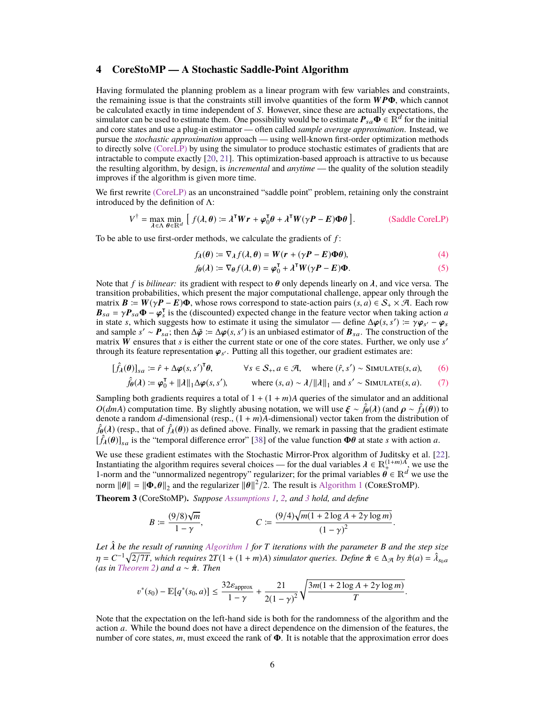# <span id="page-5-0"></span>**4 CoreStoMP — A Stochastic Saddle-Point Algorithm**

Having formulated the planning problem as a linear program with few variables and constraints, the remaining issue is that the constraints still involve quantities of the form  $WP\Phi$ , which cannot be calculated exactly in time independent of *S*. However, since these are actually expectations, the simulator can be used to estimate them. One possibility would be to estimate  $P_{sa}\Phi \in \mathbb{R}^d$  for the initial and core states and use a plug-in estimator — often called *sample average approximation*. Instead, we pursue the *stochastic approximation* approach — using well-known first-order optimization methods to directly solve [\(CoreLP\)](#page-4-0) by using the simulator to produce stochastic estimates of gradients that are intractable to compute exactly [\[20,](#page-10-11) [21\]](#page-10-12). This optimization-based approach is attractive to us because the resulting algorithm, by design, is *incremental* and *anytime* — the quality of the solution steadily improves if the algorithm is given more time.

We first rewrite [\(CoreLP\)](#page-4-0) as an unconstrained "saddle point" problem, retaining only the constraint introduced by the definition of Λ:

$$
V^{\dagger} = \max_{\lambda \in \Lambda} \min_{\theta \in \mathbb{R}^d} \left[ f(\lambda, \theta) := \lambda^{\mathsf{T}} W r + \varphi_0^{\mathsf{T}} \theta + \lambda^{\mathsf{T}} W (\gamma P - E) \Phi \theta \right].
$$
 (Saddle CoreLP)

To be able to use first-order methods, we calculate the gradients of *f* :

<span id="page-5-5"></span><span id="page-5-1"></span>
$$
f_{\lambda}(\theta) := \nabla_{\lambda} f(\lambda, \theta) = W(r + (\gamma P - E)\Phi\theta), \tag{4}
$$

<span id="page-5-6"></span><span id="page-5-4"></span><span id="page-5-3"></span>
$$
f_{\theta}(\lambda) := \nabla_{\theta} f(\lambda, \theta) = \varphi_0^{\mathsf{T}} + \lambda^{\mathsf{T}} W(\gamma \mathbf{P} - \mathbf{E}) \Phi.
$$
 (5)

Note that *f* is *bilinear*: its gradient with respect to  $\theta$  only depends linearly on  $\lambda$ , and vice versa. The transition probabilities, which present the major computational challenge, appear only through the matrix  $\mathbf{B} := W(\gamma \mathbf{P} - \mathbf{E})\mathbf{\Phi}$ , whose rows correspond to state-action pairs  $(s, a) \in \mathcal{S}_+ \times \mathcal{A}$ . Each row  $\mathbf{B}_{sa} = \gamma \mathbf{P}_{sa} \mathbf{\Phi} - \mathbf{\phi}_s^{\mathsf{T}}$  is the (discounted) expected change in the feature vector when taking action *a* in state *s*, which suggests how to estimate it using the simulator — define  $\Delta \varphi(s, s') := \gamma \varphi_{s'} - \$ in state s, which suggests how to estimate it using the simulator — define  $\Delta \varphi(s, s') := \gamma \varphi_{s'} - \varphi_s$ <br>and sample  $s' \sim P_{sa}$ ; then  $\Delta \tilde{\varphi} := \Delta \varphi(s, s')$  is an unbiased estimator of  $B_{sa}$ . The construction of the<br>matrix W e matrix  $\hat{W}$  ensures that *s* is either the current state or one of the core states. Further, we only use *s'* through its feature representation  $\varphi_{s'}$ . Putting all this together, our gradient estimates are:

$$
[\hat{f}_{\lambda}(\theta)]_{sa} := \hat{r} + \Delta \varphi(s, s')^{\mathsf{T}} \theta, \qquad \forall s \in \mathcal{S}_{+}, a \in \mathcal{A}, \quad \text{where } (\hat{r}, s') \sim \text{SIMULATE}(s, a), \qquad (6)
$$

$$
\hat{f}_{\theta}(\lambda) \coloneqq \boldsymbol{\varphi}_0^{\mathsf{T}} + ||\lambda||_1 \Delta \boldsymbol{\varphi}(s, s'), \qquad \text{where } (s, a) \sim \lambda / ||\lambda||_1 \text{ and } s' \sim \text{SIMULATE}(s, a). \tag{7}
$$

Sampling both gradients requires a total of  $1 + (1 + m)A$  queries of the simulator and an additional *O*(*dmA*) computation time. By slightly abusing notation, we will use  $\xi \sim \hat{f}_{\theta}(\lambda)$  (and  $\rho \sim \hat{f}_{\lambda}(\theta)$ ) to denote a random *d*-dimensional (resp.,  $(1 + m)A$ -dimensional) vector taken from the distribution of  $\hat{f}_{\theta}(\lambda)$  (resp., that of  $\hat{f}_{\lambda}(\theta)$ ) as defined above. Finally, we remark in passing that the gradient estimate  $[\hat{f}_{\lambda}(\theta)]_{sa}$  is the "temporal difference error" [\[38\]](#page-11-5) of the value function  $\Phi\theta$  at state *s* with action *a*.

We use these gradient estimates with the Stochastic Mirror-Prox algorithm of Juditsky et al. [\[22\]](#page-10-13). Instantiating the algorithm requires several choices — for the dual variables  $\lambda \in \mathbb{R}^{(1+m)A}_{+}$ , we use the 1-norm and the "unnormalized negentropy" regularizer: for the primal variables  $\theta \in \mathbb{R}^d$  we use the 1-norm and the "unnormalized negentropy" regularizer; for the primal variables  $\vec{\theta} \in \mathbb{R}^d$  we use the norm  $\|\theta\| = \|\Phi_*\theta\|_2$  and the regularizer  $\|\theta\|^2/2$ . The result is [Algorithm 1](#page-6-1) (CORESTOMP).

<span id="page-5-2"></span>**Theorem 3** (CoreStoMP)**.** *Suppose [Assumptions 1,](#page-3-2) [2,](#page-3-3) and [3](#page-3-4) hold, and define*

$$
B := \frac{(9/8)\sqrt{m}}{1-\gamma}, \qquad C := \frac{(9/4)\sqrt{m(1+2\log A + 2\gamma\log m)}}{(1-\gamma)^2}.
$$

Let  $\hat{\lambda}$  be the result of running *[Algorithm 1](#page-6-1)* for *T* iterations with the parameter *B* and the step size  $\eta = C^{-1} \sqrt{2/7T}$ , which requires  $2T(1 + (1 + m)A)$  *simulator queries. Define*  $\hat{\pi} \in \Delta_{\mathcal{A}}$  *by*  $\hat{\pi}(a) = \hat{\lambda}_{s_0 a}$ <br>(as in Theorem 2) and  $a \sim \hat{\pi}$ . Then *(as in [Theorem 2\)](#page-4-1) and <sup>a</sup>* <sup>∼</sup> πˆ*. Then*

$$
v^*(s_0) - \mathbb{E}[q^*(s_0, a)] \le \frac{32\varepsilon_{\text{approx}}}{1 - \gamma} + \frac{21}{2(1 - \gamma)^2} \sqrt{\frac{3m(1 + 2\log A + 2\gamma\log m)}{T}}.
$$

Note that the expectation on the left-hand side is both for the randomness of the algorithm and the action *a*. While the bound does not have a direct dependence on the dimension of the features, the number of core states, *m*, must exceed the rank of Φ. It is notable that the approximation error does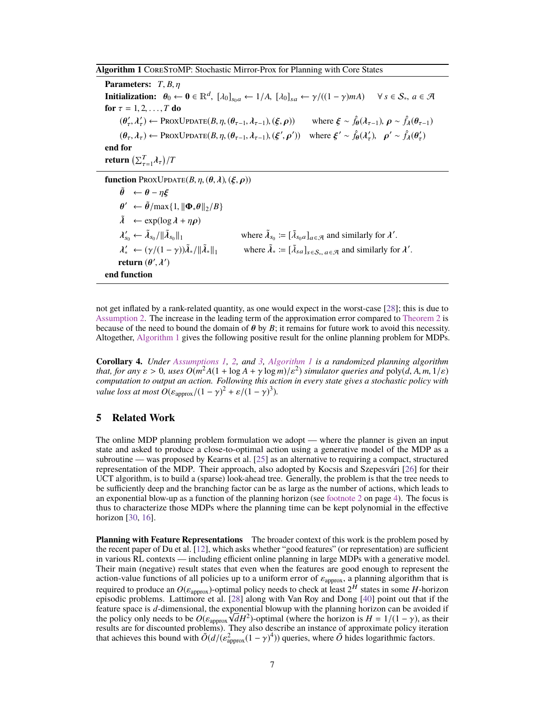<span id="page-6-1"></span>**Algorithm 1** CoreStoMP: Stochastic Mirror-Prox for Planning with Core States

**Parameters:**  $T, B, \eta$ **Initialization:**  $\theta_0 \leftarrow \mathbf{0} \in \mathbb{R}^d$ ,  $[\lambda_0]_{s_0a} \leftarrow 1/A$ ,  $[\lambda_0]_{sa} \leftarrow \gamma/((1-\gamma)mA) \quad \forall s \in S_*, a \in \mathcal{A}$ **for**  $\tau = 1, 2, ..., T$  **do**  $(\theta'_\tau, \lambda'_\tau) \leftarrow \text{ProxUpaATE}(B, \eta, (\theta_{\tau-1}, \lambda_{\tau-1}), (\xi, \rho))$  where  $\xi \sim \hat{f}_\theta(\lambda_{\tau-1}), \rho \sim \hat{f}_\lambda(\theta_{\tau-1})$  $(\theta_{\tau}, \lambda_{\tau}) \leftarrow \text{ProxUpbare}(B, \eta, (\theta_{\tau-1}, \lambda_{\tau-1}), (\xi^{\prime})$  $\overline{r}$ (b) where  $\xi' \sim \hat{f}_{\theta}(\lambda'_{\tau}), \ \rho' \sim \hat{f}_{\lambda}(\theta'_{\tau})$ **end for return**  $\left(\sum_{\tau=1}^T \lambda_{\tau}\right)$ /*T*

**function** PROXUPDATE $(B, \eta, (\theta, \lambda), (\xi, \rho))$ 

 $\tilde{\theta} \leftarrow \theta - \eta \xi$  $\tilde{\lambda} \leftarrow \exp(\log \lambda + \eta \rho)$  $\theta'$  ←  $\tilde{\theta}$ /max{1,  $\|\mathbf{\Phi}_*\theta\|_2/B$ } λ  $\tilde{\lambda}_{s_0} \leftarrow \tilde{\lambda}_{s_0}/\|\tilde{\lambda}_{s_0}\|$  $\lim_{\delta \to 0} \lim_{\delta \to 0} \lim_{\delta \to 0} \text{where } \tilde{\lambda}_{s_0} := [\tilde{\lambda}_{s_0 a}]_{a \in \mathcal{A}} \text{ and similarly for } \lambda'$ where  $\tilde{\lambda}_* := [\tilde{\lambda}_{sa}]_{s \in S_*}, a \in \mathcal{A}$  and similarly for  $\lambda'$  $\tilde{\lambda}_* \leftarrow (\gamma/(1-\gamma))\tilde{\lambda}_* / ||\tilde{\lambda}_*$ **return**  $(\theta', \lambda')$  $\frac{1}{\sqrt{2}}$ **end function**

not get inflated by a rank-related quantity, as one would expect in the worst-case [\[28\]](#page-10-5); this is due to [Assumption 2.](#page-3-3) The increase in the leading term of the approximation error compared to [Theorem 2](#page-4-1) is because of the need to bound the domain of  $\theta$  by  $B$ ; it remains for future work to avoid this necessity. Altogether, [Algorithm 1](#page-6-1) gives the following positive result for the online planning problem for MDPs.

**Corollary 4.** *Under [Assumptions 1,](#page-3-2) [2,](#page-3-3) and [3,](#page-3-4) [Algorithm 1](#page-6-1) is a randomized planning algorithm that, for any*  $\varepsilon > 0$ , uses  $O(m^2A(1 + \log A + \gamma \log m)/\varepsilon^2)$  simulator queries and poly(*d*, *A*, *m*, 1/ $\varepsilon$ ) *computation to output an action. Following this action in every state gives a stochastic policy with computation to output an action. Following this action in every state gives a stochastic policy with value loss at most*  $O(\varepsilon_{\text{approx}}/(1-\gamma)^2 + \varepsilon/(1-\gamma)^3)$ .

## <span id="page-6-0"></span>**5 Related Work**

The online MDP planning problem formulation we adopt — where the planner is given an input state and asked to produce a close-to-optimal action using a generative model of the MDP as a subroutine — was proposed by Kearns et al. [\[25\]](#page-10-1) as an alternative to requiring a compact, structured representation of the MDP. Their approach, also adopted by Kocsis and Szepesvári [\[26\]](#page-10-14) for their UCT algorithm, is to build a (sparse) look-ahead tree. Generally, the problem is that the tree needs to be sufficiently deep and the branching factor can be as large as the number of actions, which leads to an exponential blow-up as a function of the planning horizon (see [footnote 2](#page-3-5) on page [4\)](#page-3-5). The focus is thus to characterize those MDPs where the planning time can be kept polynomial in the effective horizon [\[30,](#page-10-15) [16\]](#page-10-8).

**Planning with Feature Representations** The broader context of this work is the problem posed by the recent paper of Du et al. [\[12\]](#page-9-2), which asks whether "good features" (or representation) are sufficient in various RL contexts — including efficient online planning in large MDPs with a generative model. Their main (negative) result states that even when the features are good enough to represent the action-value functions of all policies up to a uniform error of  $\varepsilon_{\text{approx}}$ , a planning algorithm that is<br>required to produce an  $O(\varepsilon_{\text{approx}})$  optimal policy needs to check at least  $2^H$  states in some H borizon required to produce an  $O(\varepsilon_{\text{approx}})$ -optimal policy needs to check at least  $2^H$  states in some *H*-horizon enjsodic problems. Lattimore et al. [28] along with Van Roy and Dong [40] point out that if the episodic problems. Lattimore et al. [\[28\]](#page-10-5) along with Van Roy and Dong [\[40\]](#page-11-6) point out that if the feature space is *d*-dimensional, the exponential blowup with the planning horizon can be avoided if the policy only needs to be  $O(\varepsilon_{\text{approx}}\sqrt{d}H^2)$ -optimal (where the horizon is  $H = 1/(1 - \gamma)$ , as their results are for discounted problems). They also describe an instance of approximate policy iteration that achieves this bound with  $\tilde{O}(d/(\epsilon_{\text{approx}}^2(1-\gamma)^4))$  queries, where  $\tilde{O}$  hides logarithmic factors.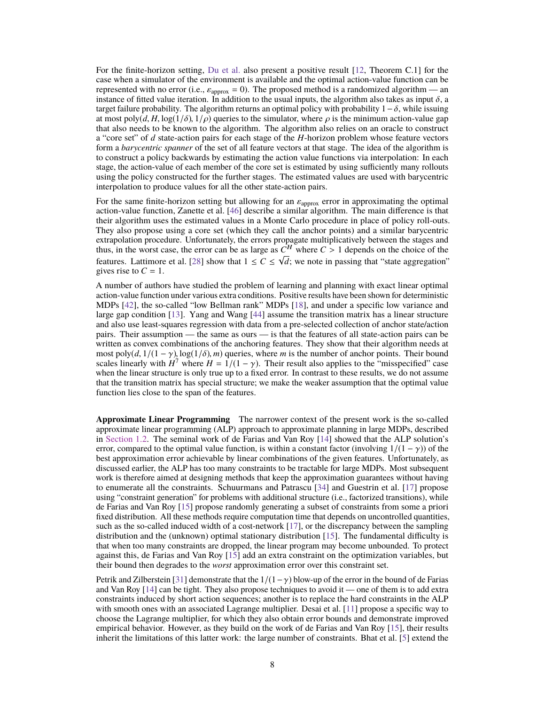For the finite-horizon setting, [Du et al.](#page-9-2) also present a positive result [\[12,](#page-9-2) Theorem C.1] for the case when a simulator of the environment is available and the optimal action-value function can be represented with no error (i.e.,  $\varepsilon_{\text{approx}} = 0$ ). The proposed method is a randomized algorithm — an instance of fitted value iteration. In addition to the usual inputs, the algorithm also takes as input  $\delta$ , a target failure probability. The algorithm returns an optimal policy with probability  $1-\delta$ , while issuing at most poly(*d*, *H*, log(1/ $\delta$ ), 1/ $\rho$ ) queries to the simulator, where  $\rho$  is the minimum action-value gap that also needs to be known to the algorithm. The algorithm also relies on an oracle to construct a "core set" of *d* state-action pairs for each stage of the *H*-horizon problem whose feature vectors form a *barycentric spanner* of the set of all feature vectors at that stage. The idea of the algorithm is to construct a policy backwards by estimating the action value functions via interpolation: In each stage, the action-value of each member of the core set is estimated by using sufficiently many rollouts using the policy constructed for the further stages. The estimated values are used with barycentric interpolation to produce values for all the other state-action pairs.

For the same finite-horizon setting but allowing for an  $\varepsilon_{\text{approx}}$  error in approximating the optimal action-value function, Zanette et al. [\[46\]](#page-11-4) describe a similar algorithm. The main difference is that their algorithm uses the estimated values in a Monte Carlo procedure in place of policy roll-outs. They also propose using a core set (which they call the anchor points) and a similar barycentric extrapolation procedure. Unfortunately, the errors propagate multiplicatively between the stages and thus, in the worst case, the error can be as large as  $C^H$  where  $C > 1$  depends on the choice of the features. Lettimore at al. [28] show that  $1 \le C \le \sqrt{d}$ ; we note in possing that "state aggregation" features. Lattimore et al. [\[28\]](#page-10-5) show that  $1 \leq C \leq \sqrt{d}$ ; we note in passing that "state aggregation" gives rise to  $C = 1$ .

A number of authors have studied the problem of learning and planning with exact linear optimal action-value function under various extra conditions. Positive results have been shown for deterministic MDPs [\[42\]](#page-11-7), the so-called "low Bellman rank" MDPs [\[18\]](#page-10-16), and under a specific low variance and large gap condition [\[13\]](#page-9-5). Yang and Wang [\[44\]](#page-11-2) assume the transition matrix has a linear structure and also use least-squares regression with data from a pre-selected collection of anchor state/action pairs. Their assumption — the same as ours — is that the features of all state-action pairs can be written as convex combinations of the anchoring features. They show that their algorithm needs at most poly $(d, 1/(1 - \gamma), \log(1/\delta), m)$  queries, where *m* is the number of anchor points. Their bound scales linearly with  $H^7$  where  $H = 1/(1 - \gamma)$ . Their result also applies to the "misspecified" case<br>when the linear structure is only true up to a fixed error. In contrast to these results, we do not assume when the linear structure is only true up to a fixed error. In contrast to these results, we do not assume that the transition matrix has special structure; we make the weaker assumption that the optimal value function lies close to the span of the features.

**Approximate Linear Programming** The narrower context of the present work is the so-called approximate linear programming (ALP) approach to approximate planning in large MDPs, described in [Section 1.2.](#page-2-0) The seminal work of de Farias and Van Roy [\[14\]](#page-9-3) showed that the ALP solution's error, compared to the optimal value function, is within a constant factor (involving  $1/(1 - \gamma)$ ) of the best approximation error achievable by linear combinations of the given features. Unfortunately, as discussed earlier, the ALP has too many constraints to be tractable for large MDPs. Most subsequent work is therefore aimed at designing methods that keep the approximation guarantees without having to enumerate all the constraints. Schuurmans and Patrascu [\[34\]](#page-10-17) and Guestrin et al. [\[17\]](#page-10-18) propose using "constraint generation" for problems with additional structure (i.e., factorized transitions), while de Farias and Van Roy [\[15\]](#page-10-19) propose randomly generating a subset of constraints from some a priori fixed distribution. All these methods require computation time that depends on uncontrolled quantities, such as the so-called induced width of a cost-network [\[17\]](#page-10-18), or the discrepancy between the sampling distribution and the (unknown) optimal stationary distribution [\[15\]](#page-10-19). The fundamental difficulty is that when too many constraints are dropped, the linear program may become unbounded. To protect against this, de Farias and Van Roy [\[15\]](#page-10-19) add an extra constraint on the optimization variables, but their bound then degrades to the *worst* approximation error over this constraint set.

Petrik and Zilberstein [\[31\]](#page-10-20) demonstrate that the  $1/(1-\gamma)$  blow-up of the error in the bound of de Farias and Van Roy [\[14\]](#page-9-3) can be tight. They also propose techniques to avoid it — one of them is to add extra constraints induced by short action sequences; another is to replace the hard constraints in the ALP with smooth ones with an associated Lagrange multiplier. Desai et al. [\[11\]](#page-9-6) propose a specific way to choose the Lagrange multiplier, for which they also obtain error bounds and demonstrate improved empirical behavior. However, as they build on the work of de Farias and Van Roy [\[15\]](#page-10-19), their results inherit the limitations of this latter work: the large number of constraints. Bhat et al. [\[5\]](#page-9-7) extend the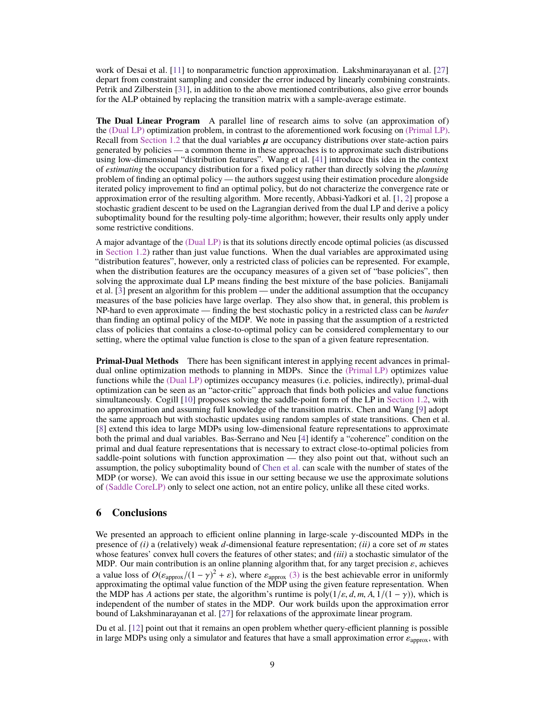work of Desai et al. [\[11\]](#page-9-6) to nonparametric function approximation. Lakshminarayanan et al. [\[27\]](#page-10-6) depart from constraint sampling and consider the error induced by linearly combining constraints. Petrik and Zilberstein [\[31\]](#page-10-20), in addition to the above mentioned contributions, also give error bounds for the ALP obtained by replacing the transition matrix with a sample-average estimate.

**The Dual Linear Program** A parallel line of research aims to solve (an approximation of) the [\(Dual LP\)](#page-2-4) optimization problem, in contrast to the aforementioned work focusing on [\(Primal LP\).](#page-2-3) Recall from [Section 1.2](#page-2-0) that the dual variables  $\mu$  are occupancy distributions over state-action pairs generated by policies — a common theme in these approaches is to approximate such distributions using low-dimensional "distribution features". Wang et al. [\[41\]](#page-11-8) introduce this idea in the context of *estimating* the occupancy distribution for a fixed policy rather than directly solving the *planning* problem of finding an optimal policy — the authors suggest using their estimation procedure alongside iterated policy improvement to find an optimal policy, but do not characterize the convergence rate or approximation error of the resulting algorithm. More recently, Abbasi-Yadkori et al. [\[1,](#page-9-8) [2\]](#page-9-9) propose a stochastic gradient descent to be used on the Lagrangian derived from the dual LP and derive a policy suboptimality bound for the resulting poly-time algorithm; however, their results only apply under some restrictive conditions.

A major advantage of the [\(Dual LP\)](#page-2-4) is that its solutions directly encode optimal policies (as discussed in [Section 1.2\)](#page-2-0) rather than just value functions. When the dual variables are approximated using "distribution features", however, only a restricted class of policies can be represented. For example, when the distribution features are the occupancy measures of a given set of "base policies", then solving the approximate dual LP means finding the best mixture of the base policies. Banijamali et al. [\[3\]](#page-9-10) present an algorithm for this problem — under the additional assumption that the occupancy measures of the base policies have large overlap. They also show that, in general, this problem is NP-hard to even approximate — finding the best stochastic policy in a restricted class can be *harder* than finding an optimal policy of the MDP. We note in passing that the assumption of a restricted class of policies that contains a close-to-optimal policy can be considered complementary to our setting, where the optimal value function is close to the span of a given feature representation.

**Primal-Dual Methods** There has been significant interest in applying recent advances in primaldual online optimization methods to planning in MDPs. Since the [\(Primal LP\)](#page-2-3) optimizes value functions while the [\(Dual LP\)](#page-2-4) optimizes occupancy measures (i.e. policies, indirectly), primal-dual optimization can be seen as an "actor-critic" approach that finds both policies and value functions simultaneously. Cogill [\[10\]](#page-9-11) proposes solving the saddle-point form of the LP in [Section 1.2,](#page-2-0) with no approximation and assuming full knowledge of the transition matrix. Chen and Wang [\[9\]](#page-9-12) adopt the same approach but with stochastic updates using random samples of state transitions. Chen et al. [\[8\]](#page-9-13) extend this idea to large MDPs using low-dimensional feature representations to approximate both the primal and dual variables. Bas-Serrano and Neu [\[4\]](#page-9-4) identify a "coherence" condition on the primal and dual feature representations that is necessary to extract close-to-optimal policies from saddle-point solutions with function approximation — they also point out that, without such an assumption, the policy suboptimality bound of [Chen et al.](#page-9-13) can scale with the number of states of the MDP (or worse). We can avoid this issue in our setting because we use the approximate solutions of [\(Saddle CoreLP\)](#page-5-1) only to select one action, not an entire policy, unlike all these cited works.

# <span id="page-8-0"></span>**6 Conclusions**

We presented an approach to efficient online planning in large-scale  $\gamma$ -discounted MDPs in the presence of *(i)* a (relatively) weak *d*-dimensional feature representation; *(ii)* a core set of *m* states whose features' convex hull covers the features of other states; and *(iii)* a stochastic simulator of the MDP. Our main contribution is an online planning algorithm that, for any target precision  $\varepsilon$ , achieves a value loss of  $O(\varepsilon_{\text{approx}}/(1-\gamma)^2 + \varepsilon)$ , where  $\varepsilon_{\text{approx}}$  [\(3\)](#page-3-6) is the best achievable error in uniformly approximating the optimal value function of the MDP using the given feature representation. When approximating the optimal value function of the MDP using the given feature representation. When the MDP has *A* actions per state, the algorithm's runtime is  $poly(1/\varepsilon, d, m, A, 1/(1 - \gamma))$ , which is independent of the number of states in the MDP. Our work builds upon the approximation error bound of Lakshminarayanan et al. [\[27\]](#page-10-6) for relaxations of the approximate linear program.

Du et al. [\[12\]](#page-9-2) point out that it remains an open problem whether query-efficient planning is possible in large MDPs using only a simulator and features that have a small approximation error  $\varepsilon_{\text{approx}}$ , with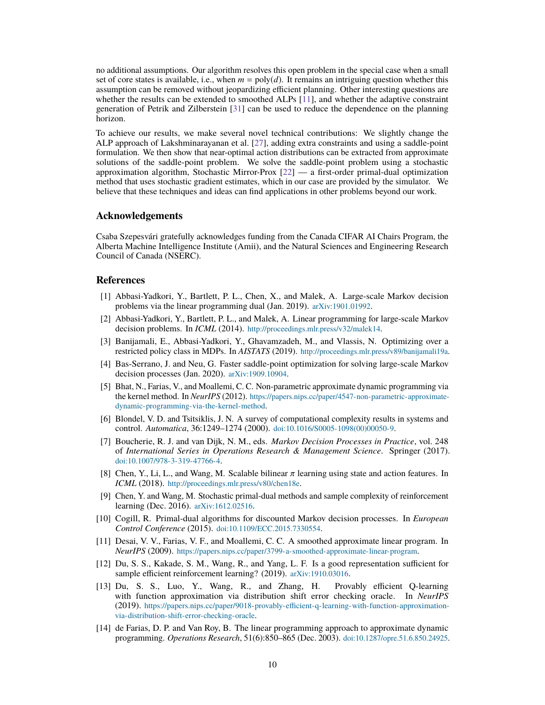no additional assumptions. Our algorithm resolves this open problem in the special case when a small set of core states is available, i.e., when  $m = \text{poly}(d)$ . It remains an intriguing question whether this assumption can be removed without jeopardizing efficient planning. Other interesting questions are whether the results can be extended to smoothed ALPs [\[11\]](#page-9-6), and whether the adaptive constraint generation of Petrik and Zilberstein [\[31\]](#page-10-20) can be used to reduce the dependence on the planning horizon.

To achieve our results, we make several novel technical contributions: We slightly change the ALP approach of Lakshminarayanan et al. [\[27\]](#page-10-6), adding extra constraints and using a saddle-point formulation. We then show that near-optimal action distributions can be extracted from approximate solutions of the saddle-point problem. We solve the saddle-point problem using a stochastic approximation algorithm, Stochastic Mirror-Prox [\[22\]](#page-10-13) — a first-order primal-dual optimization method that uses stochastic gradient estimates, which in our case are provided by the simulator. We believe that these techniques and ideas can find applications in other problems beyond our work.

## **Acknowledgements**

Csaba Szepesvári gratefully acknowledges funding from the Canada CIFAR AI Chairs Program, the Alberta Machine Intelligence Institute (Amii), and the Natural Sciences and Engineering Research Council of Canada (NSERC).

## **References**

- <span id="page-9-8"></span>[1] Abbasi-Yadkori, Y., Bartlett, P. L., Chen, X., and Malek, A. Large-scale Markov decision problems via the linear programming dual (Jan. 2019). [arXiv:1901.01992](http://arxiv.org/abs/1901.01992).
- <span id="page-9-9"></span>[2] Abbasi-Yadkori, Y., Bartlett, P. L., and Malek, A. Linear programming for large-scale Markov decision problems. In *ICML* (2014). <http://proceedings.mlr.press/v32/malek14>.
- <span id="page-9-10"></span>[3] Banijamali, E., Abbasi-Yadkori, Y., Ghavamzadeh, M., and Vlassis, N. Optimizing over a restricted policy class in MDPs. In *AISTATS* (2019). <http://proceedings.mlr.press/v89/banijamali19a>.
- <span id="page-9-4"></span>[4] Bas-Serrano, J. and Neu, G. Faster saddle-point optimization for solving large-scale Markov decision processes (Jan. 2020). [arXiv:1909.10904](http://arxiv.org/abs/1909.10904).
- <span id="page-9-7"></span>[5] Bhat, N., Farias, V., and Moallemi, C. C. Non-parametric approximate dynamic programming via the kernel method. In *NeurIPS* (2012). [https://papers.nips.cc/paper/4547-non-parametric-approximate](https://papers.nips.cc/paper/4547-non-parametric-approximate-dynamic-programming-via-the-kernel-method)[dynamic-programming-via-the-kernel-method](https://papers.nips.cc/paper/4547-non-parametric-approximate-dynamic-programming-via-the-kernel-method).
- <span id="page-9-1"></span>[6] Blondel, V. D. and Tsitsiklis, J. N. A survey of computational complexity results in systems and control. *Automatica*, 36:1249–1274 (2000). [doi:10.1016/S0005-1098\(00\)00050-9](http://dx.doi.org/10.1016/S0005-1098(00)00050-9).
- <span id="page-9-0"></span>[7] Boucherie, R. J. and van Dijk, N. M., eds. *Markov Decision Processes in Practice*, vol. 248 of *International Series in Operations Research & Management Science*. Springer (2017). [doi:10.1007/978-3-319-47766-4](http://dx.doi.org/10.1007/978-3-319-47766-4).
- <span id="page-9-13"></span>[8] Chen, Y., Li, L., and Wang, M. Scalable bilinear  $\pi$  learning using state and action features. In *ICML* (2018). <http://proceedings.mlr.press/v80/chen18e>.
- <span id="page-9-12"></span>[9] Chen, Y. and Wang, M. Stochastic primal-dual methods and sample complexity of reinforcement learning (Dec. 2016). [arXiv:1612.02516](http://arxiv.org/abs/1612.02516).
- <span id="page-9-11"></span>[10] Cogill, R. Primal-dual algorithms for discounted Markov decision processes. In *European Control Conference* (2015). [doi:10.1109/ECC.2015.7330554](http://dx.doi.org/10.1109/ECC.2015.7330554).
- <span id="page-9-6"></span>[11] Desai, V. V., Farias, V. F., and Moallemi, C. C. A smoothed approximate linear program. In *NeurIPS* (2009). <https://papers.nips.cc/paper/3799-a-smoothed-approximate-linear-program>.
- <span id="page-9-2"></span>[12] Du, S. S., Kakade, S. M., Wang, R., and Yang, L. F. Is a good representation sufficient for sample efficient reinforcement learning? (2019). [arXiv:1910.03016](http://arxiv.org/abs/1910.03016).
- <span id="page-9-5"></span>[13] Du, S. S., Luo, Y., Wang, R., and Zhang, H. Provably efficient Q-learning with function approximation via distribution shift error checking oracle. In *NeurIPS* (2019). [https://papers.nips.cc/paper/9018-provably-efficient-q-learning-with-function-approximation](https://papers.nips.cc/paper/9018-provably-efficient-q-learning-with-function-approximation-via-distribution-shift-error-checking-oracle)[via-distribution-shift-error-checking-oracle](https://papers.nips.cc/paper/9018-provably-efficient-q-learning-with-function-approximation-via-distribution-shift-error-checking-oracle).
- <span id="page-9-3"></span>[14] de Farias, D. P. and Van Roy, B. The linear programming approach to approximate dynamic programming. *Operations Research*, 51(6):850–865 (Dec. 2003). [doi:10.1287/opre.51.6.850.24925](http://dx.doi.org/10.1287/opre.51.6.850.24925).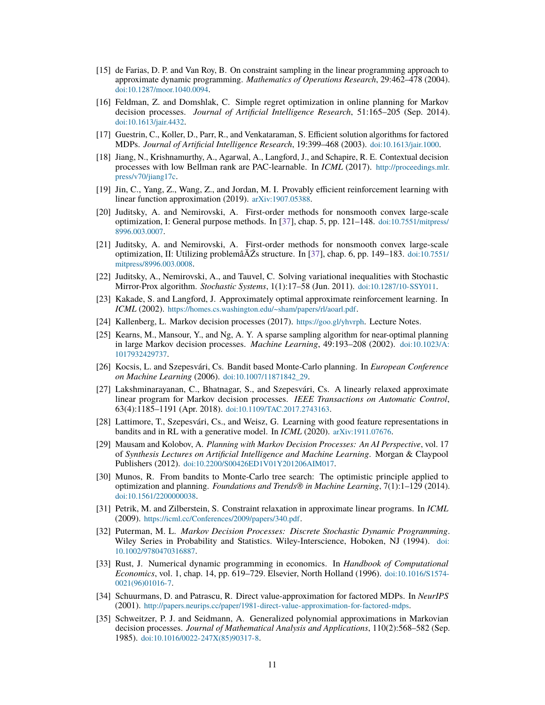- <span id="page-10-19"></span>[15] de Farias, D. P. and Van Roy, B. On constraint sampling in the linear programming approach to approximate dynamic programming. *Mathematics of Operations Research*, 29:462–478 (2004). [doi:10.1287/moor.1040.0094](http://dx.doi.org/10.1287/moor.1040.0094).
- <span id="page-10-8"></span>[16] Feldman, Z. and Domshlak, C. Simple regret optimization in online planning for Markov decision processes. *Journal of Artificial Intelligence Research*, 51:165–205 (Sep. 2014). [doi:10.1613/jair.4432](http://dx.doi.org/10.1613/jair.4432).
- <span id="page-10-18"></span>[17] Guestrin, C., Koller, D., Parr, R., and Venkataraman, S. Efficient solution algorithms for factored MDPs. *Journal of Artificial Intelligence Research*, 19:399–468 (2003). [doi:10.1613/jair.1000](http://dx.doi.org/10.1613/jair.1000).
- <span id="page-10-16"></span>[18] Jiang, N., Krishnamurthy, A., Agarwal, A., Langford, J., and Schapire, R. E. Contextual decision processes with low Bellman rank are PAC-learnable. In *ICML* (2017). [http://proceedings.mlr.](http://proceedings.mlr.press/v70/jiang17c) [press/v70/jiang17c](http://proceedings.mlr.press/v70/jiang17c).
- <span id="page-10-9"></span>[19] Jin, C., Yang, Z., Wang, Z., and Jordan, M. I. Provably efficient reinforcement learning with linear function approximation (2019). [arXiv:1907.05388](http://arxiv.org/abs/1907.05388).
- <span id="page-10-11"></span>[20] Juditsky, A. and Nemirovski, A. First-order methods for nonsmooth convex large-scale optimization, I: General purpose methods. In [\[37\]](#page-11-9), chap. 5, pp. 121–148. [doi:10.7551/mitpress/](http://dx.doi.org/10.7551/mitpress/8996.003.0007) [8996.003.0007](http://dx.doi.org/10.7551/mitpress/8996.003.0007).
- <span id="page-10-12"></span>[21] Juditsky, A. and Nemirovski, A. First-order methods for nonsmooth convex large-scale optimization, II: Utilizing problemâĂŹs structure. In [\[37\]](#page-11-9), chap. 6, pp. 149–183. [doi:10.7551/](http://dx.doi.org/10.7551/mitpress/8996.003.0008) [mitpress/8996.003.0008](http://dx.doi.org/10.7551/mitpress/8996.003.0008).
- <span id="page-10-13"></span>[22] Juditsky, A., Nemirovski, A., and Tauvel, C. Solving variational inequalities with Stochastic Mirror-Prox algorithm. *Stochastic Systems*, 1(1):17–58 (Jun. 2011). [doi:10.1287/10-SSY011](http://dx.doi.org/10.1287/10-SSY011).
- <span id="page-10-10"></span>[23] Kakade, S. and Langford, J. Approximately optimal approximate reinforcement learning. In *ICML* (2002). <https://homes.cs.washington.edu/~sham/papers/rl/aoarl.pdf>.
- <span id="page-10-4"></span>[24] Kallenberg, L. Markov decision processes (2017). <https://goo.gl/yhvrph>. Lecture Notes.
- <span id="page-10-1"></span>[25] Kearns, M., Mansour, Y., and Ng, A. Y. A sparse sampling algorithm for near-optimal planning in large Markov decision processes. *Machine Learning*, 49:193–208 (2002). [doi:10.1023/A:](http://dx.doi.org/10.1023/A:1017932429737) [1017932429737](http://dx.doi.org/10.1023/A:1017932429737).
- <span id="page-10-14"></span>[26] Kocsis, L. and Szepesvári, Cs. Bandit based Monte-Carlo planning. In *European Conference on Machine Learning* (2006). [doi:10.1007/11871842\\_29](http://dx.doi.org/10.1007/11871842_29).
- <span id="page-10-6"></span>[27] Lakshminarayanan, C., Bhatnagar, S., and Szepesvári, Cs. A linearly relaxed approximate linear program for Markov decision processes. *IEEE Transactions on Automatic Control*, 63(4):1185–1191 (Apr. 2018). [doi:10.1109/TAC.2017.2743163](http://dx.doi.org/10.1109/TAC.2017.2743163).
- <span id="page-10-5"></span>[28] Lattimore, T., Szepesvári, Cs., and Weisz, G. Learning with good feature representations in bandits and in RL with a generative model. In *ICML* (2020). [arXiv:1911.07676](http://arxiv.org/abs/1911.07676).
- <span id="page-10-2"></span>[29] Mausam and Kolobov, A. *Planning with Markov Decision Processes: An AI Perspective*, vol. 17 of *Synthesis Lectures on Artificial Intelligence and Machine Learning*. Morgan & Claypool Publishers (2012). [doi:10.2200/S00426ED1V01Y201206AIM017](http://dx.doi.org/10.2200/S00426ED1V01Y201206AIM017).
- <span id="page-10-15"></span>[30] Munos, R. From bandits to Monte-Carlo tree search: The optimistic principle applied to optimization and planning. *Foundations and Trends® in Machine Learning*, 7(1):1–129 (2014). [doi:10.1561/2200000038](http://dx.doi.org/10.1561/2200000038).
- <span id="page-10-20"></span>[31] Petrik, M. and Zilberstein, S. Constraint relaxation in approximate linear programs. In *ICML* (2009). <https://icml.cc/Conferences/2009/papers/340.pdf>.
- <span id="page-10-7"></span>[32] Puterman, M. L. *Markov Decision Processes: Discrete Stochastic Dynamic Programming*. Wiley Series in Probability and Statistics. Wiley-Interscience, Hoboken, NJ (1994). [doi:](http://dx.doi.org/10.1002/9780470316887) [10.1002/9780470316887](http://dx.doi.org/10.1002/9780470316887).
- <span id="page-10-0"></span>[33] Rust, J. Numerical dynamic programming in economics. In *Handbook of Computational Economics*, vol. 1, chap. 14, pp. 619–729. Elsevier, North Holland (1996). [doi:10.1016/S1574-](http://dx.doi.org/10.1016/S1574-0021(96)01016-7) [0021\(96\)01016-7](http://dx.doi.org/10.1016/S1574-0021(96)01016-7).
- <span id="page-10-17"></span>[34] Schuurmans, D. and Patrascu, R. Direct value-approximation for factored MDPs. In *NeurIPS* (2001). <http://papers.neurips.cc/paper/1981-direct-value-approximation-for-factored-mdps>.
- <span id="page-10-3"></span>[35] Schweitzer, P. J. and Seidmann, A. Generalized polynomial approximations in Markovian decision processes. *Journal of Mathematical Analysis and Applications*, 110(2):568–582 (Sep. 1985). [doi:10.1016/0022-247X\(85\)90317-8](http://dx.doi.org/10.1016/0022-247X(85)90317-8).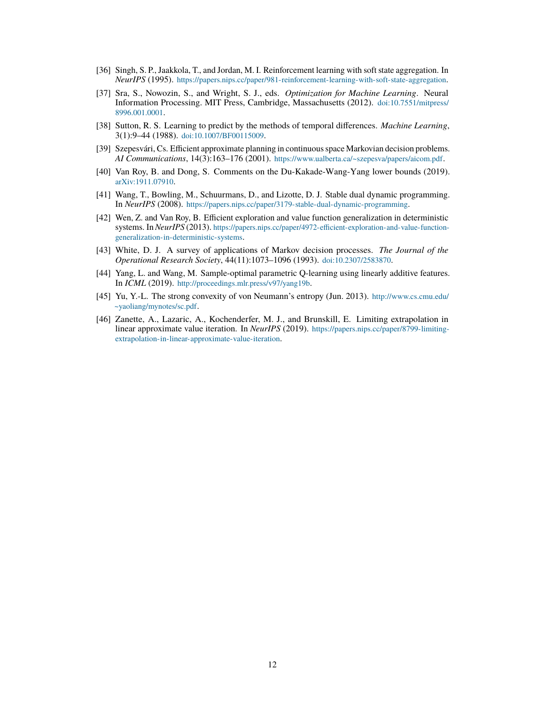- <span id="page-11-3"></span>[36] Singh, S. P., Jaakkola, T., and Jordan, M. I. Reinforcement learning with soft state aggregation. In *NeurIPS* (1995). <https://papers.nips.cc/paper/981-reinforcement-learning-with-soft-state-aggregation>.
- <span id="page-11-9"></span>[37] Sra, S., Nowozin, S., and Wright, S. J., eds. *Optimization for Machine Learning*. Neural Information Processing. MIT Press, Cambridge, Massachusetts (2012). [doi:10.7551/mitpress/](http://dx.doi.org/10.7551/mitpress/8996.001.0001) [8996.001.0001](http://dx.doi.org/10.7551/mitpress/8996.001.0001).
- <span id="page-11-5"></span>[38] Sutton, R. S. Learning to predict by the methods of temporal differences. *Machine Learning*, 3(1):9–44 (1988). [doi:10.1007/BF00115009](http://dx.doi.org/10.1007/BF00115009).
- <span id="page-11-1"></span>[39] Szepesvári, Cs. Efficient approximate planning in continuous space Markovian decision problems. *AI Communications*, 14(3):163–176 (2001). <https://www.ualberta.ca/~szepesva/papers/aicom.pdf>.
- <span id="page-11-6"></span>[40] Van Roy, B. and Dong, S. Comments on the Du-Kakade-Wang-Yang lower bounds (2019). [arXiv:1911.07910](http://arxiv.org/abs/1911.07910).
- <span id="page-11-8"></span>[41] Wang, T., Bowling, M., Schuurmans, D., and Lizotte, D. J. Stable dual dynamic programming. In *NeurIPS* (2008). <https://papers.nips.cc/paper/3179-stable-dual-dynamic-programming>.
- <span id="page-11-7"></span>[42] Wen, Z. and Van Roy, B. Efficient exploration and value function generalization in deterministic systems. In*NeurIPS* (2013). [https://papers.nips.cc/paper/4972-efficient-exploration-and-value-function](https://papers.nips.cc/paper/4972-efficient-exploration-and-value-function-generalization-in-deterministic-systems)[generalization-in-deterministic-systems](https://papers.nips.cc/paper/4972-efficient-exploration-and-value-function-generalization-in-deterministic-systems).
- <span id="page-11-0"></span>[43] White, D. J. A survey of applications of Markov decision processes. *The Journal of the Operational Research Society*, 44(11):1073–1096 (1993). [doi:10.2307/2583870](http://dx.doi.org/10.2307/2583870).
- <span id="page-11-2"></span>[44] Yang, L. and Wang, M. Sample-optimal parametric Q-learning using linearly additive features. In *ICML* (2019). <http://proceedings.mlr.press/v97/yang19b>.
- <span id="page-11-10"></span>[45] Yu, Y.-L. The strong convexity of von Neumann's entropy (Jun. 2013). [http://www.cs.cmu.edu/](http://www.cs.cmu.edu/~yaoliang/mynotes/sc.pdf) [~yaoliang/mynotes/sc.pdf](http://www.cs.cmu.edu/~yaoliang/mynotes/sc.pdf).
- <span id="page-11-4"></span>[46] Zanette, A., Lazaric, A., Kochenderfer, M. J., and Brunskill, E. Limiting extrapolation in linear approximate value iteration. In *NeurIPS* (2019). [https://papers.nips.cc/paper/8799-limiting](https://papers.nips.cc/paper/8799-limiting-extrapolation-in-linear-approximate-value-iteration)[extrapolation-in-linear-approximate-value-iteration](https://papers.nips.cc/paper/8799-limiting-extrapolation-in-linear-approximate-value-iteration).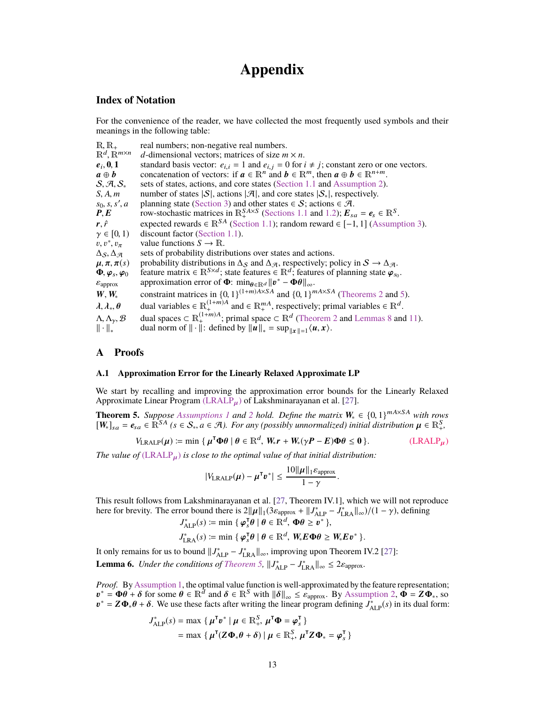# **Appendix**

# <span id="page-12-2"></span><span id="page-12-1"></span>**Index of Notation**

For the convenience of the reader, we have collected the most frequently used symbols and their meanings in the following table:

| $R, R_+$                                   | real numbers; non-negative real numbers.                                                                                        |
|--------------------------------------------|---------------------------------------------------------------------------------------------------------------------------------|
| $\mathbb{R}^d$ , $\mathbb{R}^{m \times n}$ | d-dimensional vectors; matrices of size $m \times n$ .                                                                          |
| $e_i, 0, 1$                                | standard basis vector: $e_{i,i} = 1$ and $e_{i,j} = 0$ for $i \neq j$ ; constant zero or one vectors.                           |
| $a \oplus b$                               | concatenation of vectors: if $a \in \mathbb{R}^n$ and $b \in \mathbb{R}^m$ , then $a \oplus b \in \mathbb{R}^{n+m}$ .           |
| $S, \mathcal{A}, S_*$                      | sets of states, actions, and core states (Section 1.1 and Assumption 2).                                                        |
| S, A, m                                    | number of states $ S $ , actions $ \mathcal{A} $ , and core states $ S_* $ , respectively.                                      |
| $s_0$ , s, s', a                           | planning state (Section 3) and other states $\in S$ ; actions $\in \mathcal{A}$ .                                               |
| P, E                                       | row-stochastic matrices in $\mathbb{R}^{S.A \times S}_{+}$ (Sections 1.1 and 1.2); $E_{sa} = e_s \in \mathbb{R}^{S}$ .          |
| $\mathbf{r}, \hat{r}$                      | expected rewards $\in \mathbb{R}^{SA}$ (Section 1.1); random reward $\in [-1, 1]$ (Assumption 3).                               |
| $\gamma \in [0, 1)$                        | discount factor (Section 1.1).                                                                                                  |
| $v, v^*, v_\pi$                            | value functions $S \to \mathbb{R}$ .                                                                                            |
| $\Delta$ S, $\Delta$ A                     | sets of probability distributions over states and actions.                                                                      |
| $\mu, \pi, \pi(s)$                         | probability distributions in $\Delta_S$ and $\Delta_{\mathcal{A}}$ , respectively; policy in $S \to \Delta_{\mathcal{A}}$ .     |
| $\Phi, \varphi_s, \varphi_0$               | feature matrix $\in \mathbb{R}^{S \times d}$ ; state features $\in \mathbb{R}^d$ ; features of planning state $\varphi_{s_0}$ . |
| $\varepsilon_{\text{approx}}$              | approximation error of $\Phi$ : $\min_{\theta \in \mathbb{R}^d}   v^* - \Phi\theta  _{\infty}$ .                                |
| $W, W_*$                                   | constraint matrices in $\{0, 1\}^{(1+m)A \times SA}$ and $\{0, 1\}^{mA \times SA}$ (Theorems 2 and 5).                          |
| $\lambda, \lambda_*, \theta$               | dual variables $\in \mathbb{R}_+^{(1+m)A}$ and $\in \mathbb{R}_+^{mA}$ , respectively; primal variables $\in \mathbb{R}^d$ .    |
| $\Lambda, \Lambda_{\gamma}, \mathcal{B}$   | dual spaces $\subset \mathbb{R}_+^{(1+m)A}$ ; primal space $\subset \mathbb{R}^d$ (Theorem 2 and Lemmas 8 and 11).              |
| $\ \cdot\ _*$                              | dual norm of $\ \cdot\ $ : defined by $\ u\ _* = \sup_{\ x\ =1} \langle u, x \rangle$ .                                         |

# <span id="page-12-0"></span>**A Proofs**

### <span id="page-12-4"></span>**A.1 Approximation Error for the Linearly Relaxed Approximate LP**

We start by recalling and improving the approximation error bounds for the Linearly Relaxed Approximate Linear Program  $(LRALP<sub>µ</sub>)$  $(LRALP<sub>µ</sub>)$  of Lakshminarayanan et al. [\[27\]](#page-10-6).

<span id="page-12-3"></span>**Theorem 5.** *Suppose [Assumptions 1](#page-3-2) and [2](#page-3-3) hold. Define the matrix*  $W_* \in \{0, 1\}^{mA \times SA}$  *with rows*  $[W_1] = e_{\alpha} \in \mathbb{R}^{SA}$  ( $s \in S$ ,  $a \in \mathcal{A}$ ) For any (possibly unpormalized) initial distribution  $u \in \mathbb{R}^S$  $[W_*]_{sa} = e_{sa} \in \mathbb{R}^{SA}$  *(s* ∈ *S*<sub>\*</sub>,  $a \in \mathcal{A}$ *). For any (possibly unnormalized) initial distribution*  $\mu \in \mathbb{R}^S_+$ *,* 

$$
V_{\text{LRALP}}(\mu) \coloneqq \min \left\{ \mu^{\mathsf{T}} \Phi \theta \mid \theta \in \mathbb{R}^d, W_* r + W_* (\gamma P - E) \Phi \theta \le 0 \right\}. \tag{LRALP}_{\mu}
$$

*The value of* [\(LRALP](#page-12-5)µ) *is close to the optimal value of that initial distribution:*

<span id="page-12-5"></span>
$$
|V_{\text{LRALP}}(\boldsymbol{\mu}) - \boldsymbol{\mu}^{\mathsf{T}} \boldsymbol{v}^*| \leq \frac{10 ||\boldsymbol{\mu}||_1 \varepsilon_{\text{approx}}}{1 - \gamma}.
$$

This result follows from Lakshminarayanan et al. [\[27,](#page-10-6) Theorem IV.1], which we will not reproduce here for brevity. The error bound there is  $2\|\mu\|_1 (3\varepsilon_{\text{approx}} + \|J_{\text{ALP}}^* - \tilde{J}_{\text{LRA}}^* \|_{\infty})/(1 - \gamma)$ , defining

$$
J_{\text{ALP}}^*(s) := \min \{ \varphi_s^{\mathsf{T}} \theta \mid \theta \in \mathbb{R}^d, \ \Phi \theta \geq v^* \},
$$
  

$$
J_{\text{LRA}}^*(s) := \min \{ \varphi_s^{\mathsf{T}} \theta \mid \theta \in \mathbb{R}^d, \ W_* E \Phi \theta \geq W_* E v^* \}.
$$

It only remains for us to bound  $||J^*_{ALP} - J^*_{LRA}||_{\infty}$ , improving upon Theorem IV.2 [\[27\]](#page-10-6): **Lemma 6.** *Under the conditions of [Theorem 5,](#page-12-3)*  $||J^*_{\text{ALP}} - J^*_{\text{LRA}}||_{\infty} \leq 2\varepsilon_{\text{approx}}$ .

*Proof.* By [Assumption 1,](#page-3-2) the optimal value function is well-approximated by the feature representation;  $v^* = \Phi \theta + \delta$  for some  $\theta \in \mathbb{R}^d$  and  $\delta \in \mathbb{R}^S$  with  $\|\delta\|_{\infty} \leq \epsilon_{\text{approx}}$ . By [Assumption 2,](#page-3-3)  $\dot{\Phi} = Z \Phi_*$ , so  $v^* = Z \Phi \cdot \theta + \delta$ . We use these facts after writing the linear program defining  $I^*$  (s) in its dual  $v^* = Z\Phi_*\theta + \delta$ . We use these facts after writing the linear program defining  $J_{ALP}^*(s)$  in its dual form:

$$
J_{\text{ALP}}^*(s) = \max \{ \mu^{\mathsf{T}} v^* \mid \mu \in \mathbb{R}^S_+, \mu^{\mathsf{T}} \Phi = \varphi_s^{\mathsf{T}} \}
$$
  
= 
$$
\max \{ \mu^{\mathsf{T}} (Z \Phi_* \theta + \delta) \mid \mu \in \mathbb{R}^S_+, \mu^{\mathsf{T}} Z \Phi_* = \varphi_s^{\mathsf{T}} \}
$$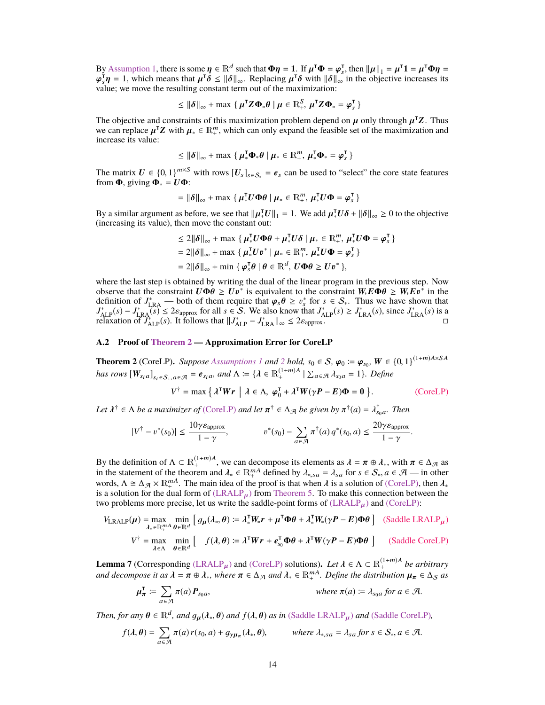By [Assumption 1,](#page-3-2) there is some  $\eta \in \mathbb{R}^d$  such that  $\Phi \eta = 1$ . If  $\mu^T \Phi = \varphi^T$ , then  $||\mu||_1 = \mu^T \mathbf{1} = \mu^T \Phi \eta = \varphi^T \mathbf{n} = 1$  which means that  $\mu^T \delta \le ||\delta||$  Replacing  $\mu^T \delta$  with  $||\delta||$  in the objective increas value; we move the resulting constant term out of the maximization:  $T_s^{\mathsf{T}} \mathbf{\eta} = 1$ , which means that  $\mu^{\mathsf{T}} \delta \leq \|\delta\|_{\infty}$ . Replacing  $\mu^{\mathsf{T}} \delta$  with  $\|\delta\|_{\infty}$  in the objective increases its subtervalue: we move the resulting constant term out of the maximization:

$$
\leq \|\boldsymbol{\delta}\|_{\infty} + \max \left\{ \boldsymbol{\mu}^{\mathsf{T}} \mathbf{Z} \boldsymbol{\Phi}_{*} \boldsymbol{\theta} \mid \boldsymbol{\mu} \in \mathbb{R}_{+}^{S}, \, \boldsymbol{\mu}^{\mathsf{T}} \mathbf{Z} \boldsymbol{\Phi}_{*} = \boldsymbol{\varphi}_{s}^{\mathsf{T}} \right\}
$$

The objective and constraints of this maximization problem depend on  $\mu$  only through  $\mu^T Z$ . Thus we can replace  $\mu^T Z$  with  $\mu \in \mathbb{R}^m$  which can only expand the feasible set of the maximization and we can replace  $\mu^T Z$  with  $\mu_* \in \mathbb{R}^m_+$ , which can only expand the feasible set of the maximization and increase its value: increase its value:

$$
\leq \|\boldsymbol{\delta}\|_{\infty} + \max \left\{ \boldsymbol{\mu}_{*}^{\mathsf{T}} \boldsymbol{\Phi}_{*} \boldsymbol{\theta} \mid \boldsymbol{\mu}_{*} \in \mathbb{R}_{+}^{m}, \, \boldsymbol{\mu}_{*}^{\mathsf{T}} \boldsymbol{\Phi}_{*} = \boldsymbol{\varphi}_{s}^{\mathsf{T}} \right\}
$$

The matrix  $U \in \{0, 1\}^{m \times S}$  with rows  $[U_s]_{s \in S_*} = e_s$  can be used to "select" the core state features from  $\Phi$  viving  $\Phi = U \Phi$ . from  $\Phi$ , giving  $\Phi_* = U \Phi$ :

$$
= \|\boldsymbol{\delta}\|_{\infty} + \max \{ \boldsymbol{\mu}_*^{\mathsf{T}} \boldsymbol{U} \boldsymbol{\Phi} \boldsymbol{\theta} \mid \boldsymbol{\mu}_* \in \mathbb{R}_+^m, \boldsymbol{\mu}_*^{\mathsf{T}} \boldsymbol{U} \boldsymbol{\Phi} = \boldsymbol{\varphi}_s^{\mathsf{T}} \}
$$

By a similar argument as before, we see that  $||\mu_*^{\mathsf{T}}U||_1 = 1$ . We add  $\mu_*^{\mathsf{T}}U\delta + ||\delta||_{\infty} \geq 0$  to the objective (increasing its value) then move the constant out: (increasing its value), then move the constant out:

$$
\leq 2\|\boldsymbol{\delta}\|_{\infty} + \max \{ \boldsymbol{\mu}_{*}^{\mathsf{T}} \boldsymbol{U} \boldsymbol{\Phi} \boldsymbol{\theta} + \boldsymbol{\mu}_{*}^{\mathsf{T}} \boldsymbol{U} \boldsymbol{\delta} \mid \boldsymbol{\mu}_{*} \in \mathbb{R}_{+}^{m}, \boldsymbol{\mu}_{*}^{\mathsf{T}} \boldsymbol{U} \boldsymbol{\Phi} = \boldsymbol{\varphi}_{s}^{\mathsf{T}} \}
$$
  
= 2||\boldsymbol{\delta}||\_{\infty} + \max \{ \boldsymbol{\mu}\_{\*}^{\mathsf{T}} \boldsymbol{U} \boldsymbol{v}^{\*} \mid \boldsymbol{\mu}\_{\*} \in \mathbb{R}\_{+}^{m}, \boldsymbol{\mu}\_{\*}^{\mathsf{T}} \boldsymbol{U} \boldsymbol{\Phi} = \boldsymbol{\varphi}\_{s}^{\mathsf{T}} \}  
= 2||\boldsymbol{\delta}||\_{\infty} + \min \{ \boldsymbol{\varphi}\_{s}^{\mathsf{T}} \boldsymbol{\theta} \mid \boldsymbol{\theta} \in \mathbb{R}^{d}, \boldsymbol{U} \boldsymbol{\Phi} \boldsymbol{\theta} \geq \boldsymbol{U} \boldsymbol{v}^{\*} \},

where the last step is obtained by writing the dual of the linear program in the previous step. Now observe that the constraint  $U\Phi\theta \geq Uv^*$  is equivalent to the constraint  $W_*E\Phi\theta \geq W_*Ev^*$  in the definition of  $J_{\text{LRA}}^*$  — both of them require that  $\varphi_s\theta \geq v_s^*$  for  $s \in S_*$ . Thus we have shown that  $J_{\text{LCA}}^*($ ∗ is equivalent to the constraint  $W_* E \overline{\Phi} \theta \geq W_* E v^*$  in the  $J_{ALP}^*(s) - J_{LRA}^*(s) \le 2\varepsilon_{\text{approx}}$  for all  $s \in S$ . We also know that  $J_{ALP}^*(s) \ge J_{LRA}^*(s)$ , since  $J_{LRA}^*(s)$  is a  $\Gamma_{LRA}^*(s) \le J_{LRA}^*(s)$ . relaxation of *J*<sub>ALP</sub>(*s*). It follows that  $||J^*_{ALP} - J^*_{LRA}||_{\infty} \leq 2\varepsilon_{\text{approx}}$ .

### <span id="page-13-0"></span>**A.2 Proof of [Theorem 2](#page-4-1) — Approximation Error for CoreLP**

**Theorem [2](#page-3-3)** (CoreLP). *Suppose [Assumptions 1](#page-3-2)* and 2 hold,  $s_0 \in S$ ,  $\varphi_0 := \varphi_{s_0}$ ,  $W \in \{0, 1\}^{(1+m)A \times SA}$ *has rows*  $[W_{s_i a}]_{s_i \in S_+, a \in \mathcal{A}} = e_{s_i a}$ *, and*  $\Lambda := \{ \lambda \in \mathbb{R}^{(1+m)A}_+ \mid \sum_{a \in \mathcal{A}} \lambda_{s_0 a} = 1 \}$ *. Define* 

<span id="page-13-1"></span>
$$
V^{\dagger} = \max \left\{ \lambda^{\mathsf{T}} W r \mid \lambda \in \Lambda, \, \boldsymbol{\varphi}_0^{\mathsf{T}} + \lambda^{\mathsf{T}} W (\gamma \boldsymbol{P} - \boldsymbol{E}) \boldsymbol{\Phi} = \boldsymbol{0} \right\}.
$$
 (CoreLP)

Let  $\lambda^{\dagger} \in \Lambda$  *be a maximizer of* [\(CoreLP\)](#page-4-0) *and let*  $\pi^{\dagger} \in \Delta_{\mathcal{A}}$  *be given by*  $\pi^{\dagger}(a) = \lambda_{s_0a}^{\dagger}$ . Then

$$
|V^{\dagger} - v^*(s_0)| \le \frac{10\gamma \varepsilon_{\text{approx}}}{1 - \gamma}, \qquad v^*(s_0) - \sum_{a \in \mathcal{A}} \pi^{\dagger}(a) q^*(s_0, a) \le \frac{20\gamma \varepsilon_{\text{approx}}}{1 - \gamma}.
$$

By the definition of  $\Lambda \subset \mathbb{R}^{(1+m)A}_{++}$ , we can decompose its elements as  $\lambda = \pi \oplus \lambda_*$ , with  $\pi \in \Delta_{\mathcal{A}}$  as in the statement of the theorem and  $\lambda_* \in \mathbb{R}^{mA}_{+}$  defined by  $\lambda_{*,sa} = \lambda_{sa}$  for  $s \in \mathcal{S}_*, a \in \mathcal{A}$  — in other words  $\Lambda \cong \Lambda_a \times \mathbb{R}^{mA}$ . The main idea of the proof is that when  $\lambda$  is a solution of (Corel P), words,  $\Lambda \cong \Delta_{\mathcal{A}} \times \mathbb{R}^{mA}_{+}$ . The main idea of the proof is that when  $\lambda$  is a solution of [\(CoreLP\),](#page-4-0) then  $\lambda_{*}$  is a solution for the dual form of (LRALP), from Theorem 5. To make this connection between the is a solution for the dual form of  $(LRALP_\mu)$  $(LRALP_\mu)$  from [Theorem 5.](#page-12-3) To make this connection between the two problems more precise, let us write the saddle-point forms of  $(LRALP<sub>\mu</sub>)$  $(LRALP<sub>\mu</sub>)$  and  $(CoreLP)$ :

$$
V_{\text{LRALP}}(\mu) = \max_{\lambda_* \in \mathbb{R}_+^{mA}} \min_{\theta \in \mathbb{R}^d} \left[ g_\mu(\lambda_*, \theta) := \lambda_*^{\text{T}} W_* r + \mu^{\text{T}} \Phi \theta + \lambda_*^{\text{T}} W_* (\gamma P - E) \Phi \theta \right] \quad \text{(Saddle LRALP}_{\mu})
$$
\n
$$
V^{\dagger} = \max_{\theta \in \mathbb{R}_+^{mA}} \min_{\theta \in \mathbb{R}^d} \left[ f(\theta_*, \theta) = \lambda_*^{\text{T}} W_* \mathbf{1} + \sigma_*^{\text{T}} \Phi \theta + \lambda_*^{\text{T}} W_* (\mathbf{1} \mathbf{P} - E) \Phi \theta \right] \quad \text{(Saddle Coral P)}
$$

$$
V^{\dagger} = \max_{\lambda \in \Lambda} \min_{\theta \in \mathbb{R}^d} \left[ f(\lambda, \theta) := \lambda^{\mathsf{T}} W r + e_{s_0}^{\mathsf{T}} \Phi \theta + \lambda^{\mathsf{T}} W (\gamma P - E) \Phi \theta \right]
$$
 (Saddle CoreLP)

<span id="page-13-3"></span>**Lemma 7** (Corresponding [\(LRALP](#page-12-5)<sub>µ</sub>) and [\(CoreLP\)](#page-4-0) solutions). Let  $\lambda \in \Lambda \subset \mathbb{R}^{(1+m)A}_{+}$  be arbitrary<br>and decompose it as  $\lambda = \pi \oplus \lambda$ , where  $\pi \in \Lambda \subseteq \mathbb{R}^{m}$  be  $\mathbb{R}^{m}$ . Define the distribution  $\mu \in \Lambda \subseteq \mathbb{R}^{n$ *and decompose it as*  $\lambda = \pi \oplus \lambda_*$ *, where*  $\pi \in \Delta_{\mathcal{A}}$  *and*  $\lambda_* \in \mathbb{R}^{mA}_+$ *. Define the distribution*  $\mu_{\pi} \in \Delta_S$  *as* 

<span id="page-13-2"></span>
$$
\mu_{\pi}^{\mathsf{T}} \coloneqq \sum_{a \in \mathcal{A}} \pi(a) \, \mathbf{P}_{s_0 a}, \qquad \qquad \text{where } \pi(a) \coloneqq \lambda_{s_0 a} \, \text{for } a \in \mathcal{A}.
$$

*Then, for any*  $\theta \in \mathbb{R}^d$ *, and*  $g_\mu(\lambda_*, \theta)$  *and*  $f(\lambda, \theta)$  *as in* [\(Saddle LRALP](#page-13-1)<sub>µ</sub>) *and* [\(Saddle CoreLP\)](#page-13-2)*,* 

$$
f(\lambda, \theta) = \sum_{a \in \mathcal{A}} \pi(a) r(s_0, a) + g_{\gamma \mu_{\pi}}(\lambda_*, \theta), \qquad \text{where } \lambda_{*,sa} = \lambda_{sa} \text{ for } s \in \mathcal{S}_*, a \in \mathcal{A}.
$$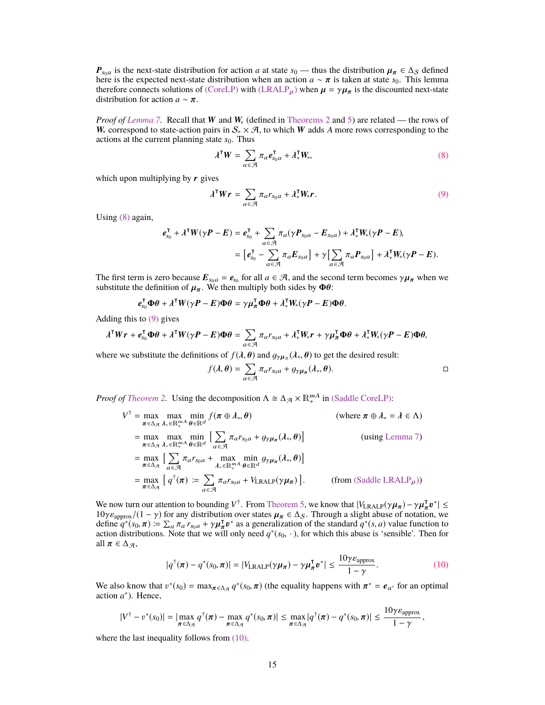$P_{s_0a}$  is the next-state distribution for action *a* at state  $s_0$  — thus the distribution  $\mu_\pi \in \Delta_S$  defined here is the expected next-state distribution when an action  $a \sim \pi$  is taken at state  $s_0$ . This lemma therefore connects solutions of [\(CoreLP\)](#page-4-0) with [\(LRALP](#page-12-5)<sub>u</sub>) when  $\mu = \gamma \mu_{\pi}$  is the discounted next-state distribution for action  $a \sim \pi$ .

*Proof of [Lemma 7.](#page-13-3)* Recall that *W* and *W*<sub>∗</sub> (defined in [Theorems 2](#page-4-1) and [5\)](#page-12-3) are related — the rows of W<sub>∗</sub> correspond to state-action pairs in  $S_* \times A$ , to which W adds A more rows corresponding to the actions at the current planning state  $s_0$ . Thus

<span id="page-14-1"></span><span id="page-14-0"></span>
$$
\lambda^{\mathsf{T}} W = \sum_{a \in \mathcal{A}} \pi_a e_{s_0 a}^{\mathsf{T}} + \lambda_*^{\mathsf{T}} W_*,
$$
 (8)

which upon multiplying by  $\boldsymbol{r}$  gives

$$
\lambda^{\mathsf{T}} W r = \sum_{a \in \mathcal{A}} \pi_a r_{s_0 a} + \lambda_*^{\mathsf{T}} W_* r.
$$
 (9)

Using [\(8\)](#page-14-0) again,

$$
\begin{aligned} \boldsymbol{e}_{s_0}^{\mathsf{T}} + \boldsymbol{\lambda}^{\mathsf{T}} \boldsymbol{W} (\boldsymbol{\gamma} \boldsymbol{P} - \boldsymbol{E}) &= \boldsymbol{e}_{s_0}^{\mathsf{T}} + \sum_{a \in \mathcal{A}} \pi_a (\boldsymbol{\gamma} \boldsymbol{P}_{s_0 a} - \boldsymbol{E}_{s_0 a}) + \boldsymbol{\lambda}_*^{\mathsf{T}} \boldsymbol{W}_* (\boldsymbol{\gamma} \boldsymbol{P} - \boldsymbol{E}), \\ &= \left[ \boldsymbol{e}_{s_0}^{\mathsf{T}} - \sum_{a \in \mathcal{A}} \pi_a \boldsymbol{E}_{s_0 a} \right] + \boldsymbol{\gamma} \left[ \sum_{a \in \mathcal{A}} \pi_a \boldsymbol{P}_{s_0 a} \right] + \boldsymbol{\lambda}_*^{\mathsf{T}} \boldsymbol{W}_* (\boldsymbol{\gamma} \boldsymbol{P} - \boldsymbol{E}). \end{aligned}
$$

The first term is zero because  $E_{s_0a} = e_{s_0}$  for all  $a \in \mathcal{A}$ , and the second term becomes  $\gamma \mu_{\pi}$  when we substitute the definition of  $\mu_{\pi}$ . We then multiply both sides by  $\Phi a$ . substitute the definition of  $\mu_{\pi}$ . We then multiply both sides by  $\Phi \theta$ :

$$
e_{s_0}^{\mathsf{T}} \Phi \theta + \lambda^{\mathsf{T}} W (\gamma P - E) \Phi \theta = \gamma \mu_{\pi}^{\mathsf{T}} \Phi \theta + \lambda_{\ast}^{\mathsf{T}} W_{\ast} (\gamma P - E) \Phi \theta.
$$

Adding this to [\(9\)](#page-14-1) gives

$$
\lambda^{\mathsf{T}} W r + e_{s_0}^{\mathsf{T}} \Phi \theta + \lambda^{\mathsf{T}} W (\gamma P - E) \Phi \theta = \sum_{a \in \mathcal{A}} \pi_a r_{s_0 a} + \lambda_*^{\mathsf{T}} W_* r + \gamma \mu_{\pi}^{\mathsf{T}} \Phi \theta + \lambda_*^{\mathsf{T}} W_* (\gamma P - E) \Phi \theta,
$$

where we substitute the definitions of  $f(\lambda, \theta)$  and  $g_{\gamma\mu_{\pi}}(\lambda_*, \theta)$  to get the desired result:

$$
f(\lambda, \theta) = \sum_{a \in \mathcal{A}} \pi_a r_{s_0 a} + g_{\gamma \mu_\pi}(\lambda_*, \theta).
$$

*Proof of [Theorem 2.](#page-4-1)* Using the decomposition  $\Lambda \cong \Delta_{\mathcal{A}} \times \mathbb{R}^{mA}_{+}$  in [\(Saddle CoreLP\):](#page-13-2)

$$
V^{\dagger} = \max_{\pi \in \Delta_{\mathcal{A}}} \max_{\lambda_* \in \mathbb{R}_+^{mA}} \min_{\theta \in \mathbb{R}^d} f(\pi \oplus \lambda_*, \theta) \qquad \text{(where } \pi \oplus \lambda_* = \lambda \in \Lambda)
$$
  
\n
$$
= \max_{\pi \in \Delta_{\mathcal{A}}} \max_{\lambda_* \in \mathbb{R}_+^{mA}} \min_{\theta \in \mathbb{R}^d} \left[ \sum_{a \in \mathcal{A}} \pi_a r_{s_0 a} + g_{\gamma \mu_\pi}(\lambda_*, \theta) \right] \qquad \text{(using Lemma 7)}
$$
  
\n
$$
= \max_{\pi \in \Delta_{\mathcal{A}}} \left[ \sum_{a \in \mathcal{A}} \pi_a r_{s_0 a} + \max_{\lambda_* \in \mathbb{R}_+^{mA}} \min_{\theta \in \mathbb{R}^d} g_{\gamma \mu_\pi}(\lambda_*, \theta) \right]
$$
  
\n
$$
= \max_{\pi \in \Delta_{\mathcal{A}}} \left[ q^{\dagger}(\pi) := \sum_{a \in \mathcal{A}} \pi_a r_{s_0 a} + V_{\text{LRALP}}(\gamma \mu_\pi) \right]. \qquad \text{(from (Saddle LRALP\mu))}
$$

We now turn our attention to bounding  $V^{\dagger}$ . From Theorem 5, we know that  $|V_{\text{LRALP}}(\gamma \mu_{\pi}) - \gamma \mu_{\pi}^{\dagger} v^*| \leq$ We now turn our attention to bounding  $V^{\dagger}$ . From [Theorem 5,](#page-12-3) we know that  $|V_{\text{LRALP}}(\gamma \mu_{\pi}) - \gamma \mu_{\pi}^{\dagger} v^*| \le 10 \gamma \varepsilon_{\text{approx}}/(1 - \gamma)$  for any distribution over states  $\mu_{\pi} \in \Delta_S$ . Through a slight abuse of notation action distributions. Note that we will only need  $q^*(s_0, \cdot)$ , for which this abuse is 'sensible'. Then for all  $\pi \in \Lambda_{\mathcal{A}}$ all  $\pi \in \Delta_{\mathcal{A}},$ 

<span id="page-14-2"></span>
$$
|q^{\dagger}(\boldsymbol{\pi}) - q^*(s_0, \boldsymbol{\pi})| = |V_{\text{LRALP}}(\gamma \boldsymbol{\mu}_{\boldsymbol{\pi}}) - \gamma \boldsymbol{\mu}_{\boldsymbol{\pi}}^{\mathsf{T}} \boldsymbol{v}^*| \le \frac{10 \gamma \varepsilon_{\text{approx}}}{1 - \gamma}.
$$
 (10)

We also know that  $v^*(s_0) = \max_{\pi \in \Delta_{\mathcal{A}}} q^*(s_0, \pi)$  (the equality happens with  $\pi^* = e_{a^*}$  for an optimal action  $a^*$ ). Hence action *a* ∗ ). Hence,

$$
|V^{\dagger}-v^*(s_0)|=|\max_{\pi\in\Delta_{\mathcal{A}}}q^{\dagger}(\pi)-\max_{\pi\in\Delta_{\mathcal{A}}}q^*(s_0,\pi)|\leq \max_{\pi\in\Delta_{\mathcal{A}}} |q^{\dagger}(\pi)-q^*(s_0,\pi)|\leq \frac{10\gamma\varepsilon_{\text{approx}}}{1-\gamma},
$$

where the last inequality follows from  $(10)$ .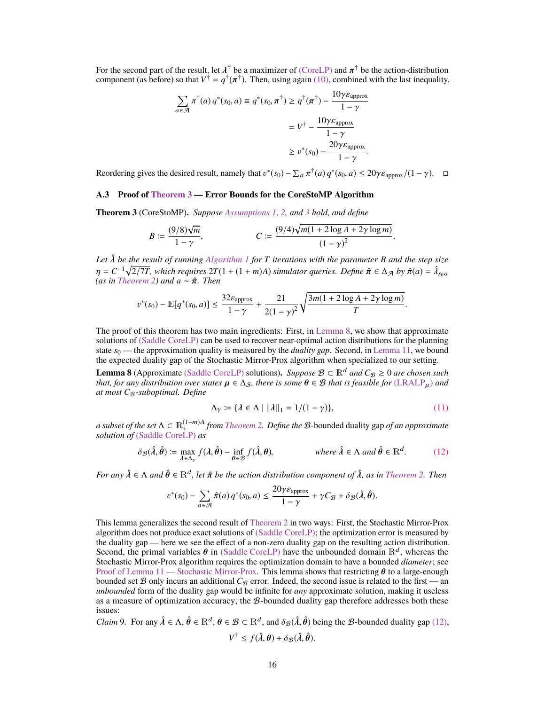For the second part of the result, let  $\lambda^{\dagger}$  be a maximizer of (CoreLP) and  $\pi^{\dagger}$  be the action-distribution component (as before) so that  $V^{\dagger} = q^{\dagger}(\pi^{\dagger})$ . Then, using again [\(10\),](#page-14-2) combined with the last ine <sup>†</sup> be a maximizer of [\(CoreLP\)](#page-4-0) and  $\pi^{\dagger}$  be the action-distribution  $f(\pi^{\dagger})$ . Then using again (10), combined with the last inequality

$$
\sum_{a \in \mathcal{A}} \pi^{\dagger}(a) q^*(s_0, a) \equiv q^*(s_0, \pi^{\dagger}) \ge q^{\dagger}(\pi^{\dagger}) - \frac{10\gamma \varepsilon_{\text{approx}}}{1 - \gamma}
$$

$$
= V^{\dagger} - \frac{10\gamma \varepsilon_{\text{approx}}}{1 - \gamma}
$$

$$
\ge v^*(s_0) - \frac{20\gamma \varepsilon_{\text{approx}}}{1 - \gamma}.
$$

Reordering gives the desired result, namely that  $v^*(s_0) - \sum_a \pi^{\dagger}(a) q^*(s_0, a) \le 20 \gamma \varepsilon_{\text{approx}}/(1 - \gamma)$ .  $\Box$ 

## **A.3 Proof of [Theorem 3](#page-5-2) — Error Bounds for the CoreStoMP Algorithm**

**Theorem 3** (CoreStoMP)**.** *Suppose [Assumptions 1,](#page-3-2) [2,](#page-3-3) and [3](#page-3-4) hold, and define*

$$
B := \frac{(9/8)\sqrt{m}}{1-\gamma}, \qquad C := \frac{(9/4)\sqrt{m(1+2\log A + 2\gamma\log m)}}{(1-\gamma)^2}
$$

*Let*  $\hat{\lambda}$  *be the result of running [Algorithm 1](#page-6-1) for T iterations with the parameter B and the step size*<br> $n - C^{-1} \sqrt{2^{T}T}$  which requires  $2T(1 + (1 + m)\lambda)$  simulator quaries. Define  $\hat{\pi} \in \Lambda - \ln \hat{\pi}(\alpha) - \hat{\lambda$  $\eta = C^{-1} \sqrt{2/7T}$ , which requires  $2T(1 + (1 + m)A)$  *simulator queries. Define*  $\hat{\pi} \in \Delta_{\mathcal{A}}$  *by*  $\hat{\pi}(a) = \hat{\lambda}_{s_0 a}$ <br>(as in Theorem 2) and  $a \sim \hat{\pi}$  Then *(as in [Theorem 2\)](#page-4-1) and*  $a \sim \hat{\pi}$ *. Then* 

$$
v^*(s_0) - \mathbb{E}[q^*(s_0, a)] \le \frac{32\varepsilon_{\text{approx}}}{1 - \gamma} + \frac{21}{2(1 - \gamma)^2} \sqrt{\frac{3m(1 + 2\log A + 2\gamma\log m)}{T}}
$$

The proof of this theorem has two main ingredients: First, in [Lemma 8,](#page-15-0) we show that approximate solutions of [\(Saddle CoreLP\)](#page-5-1) can be used to recover near-optimal action distributions for the planning state *s*<sup>0</sup> — the approximation quality is measured by the *duality gap*. Second, in [Lemma 11,](#page-17-0) we bound the expected duality gap of the Stochastic Mirror-Prox algorithm when specialized to our setting.

<span id="page-15-0"></span>**Lemma 8** (Approximate [\(Saddle CoreLP\)](#page-5-1) solutions). *Suppose*  $\mathcal{B} \subset \mathbb{R}^d$  *and*  $C_{\mathcal{B}} \ge 0$  *are chosen such that, for any distribution over states*  $\mu \in \Delta_S$ *, there is some*  $\theta \in \mathcal{B}$  *that is feasible for* [\(LRALP](#page-12-5)<sub>µ</sub>) *and at most C*B*-suboptimal. Define*

<span id="page-15-3"></span><span id="page-15-1"></span>
$$
\Lambda_{\gamma} := \{ \lambda \in \Lambda \mid ||\lambda||_1 = 1/(1 - \gamma) \},\tag{11}
$$

*a subset of the set*  $\Lambda \subset \mathbb{R}^{(1+m)A}_+$  *from [Theorem 2.](#page-4-1) Define the B*-bounded duality gap *of an approximate solution of* [\(Saddle CoreLP\)](#page-5-1) *as*

$$
\delta_{\mathcal{B}}(\hat{\lambda}, \hat{\theta}) \coloneqq \max_{\lambda \in \Lambda_{\gamma}} f(\lambda, \hat{\theta}) - \inf_{\theta \in \mathcal{B}} f(\hat{\lambda}, \theta), \qquad \text{where } \hat{\lambda} \in \Lambda \text{ and } \hat{\theta} \in \mathbb{R}^{d}. \tag{12}
$$

*For any*  $\hat{\lambda} \in \Lambda$  *and*  $\hat{\theta} \in \mathbb{R}^d$ , let  $\hat{\pi}$  be the action distribution component of  $\hat{\lambda}$ , as in [Theorem 2.](#page-4-1) Then

$$
v^*(s_0) - \sum_{a \in \mathcal{A}} \hat{\pi}(a) q^*(s_0, a) \le \frac{20\gamma \varepsilon_{\text{approx}}}{1 - \gamma} + \gamma C_{\mathcal{B}} + \delta_{\mathcal{B}}(\hat{\lambda}, \hat{\theta}).
$$

This lemma generalizes the second result of [Theorem 2](#page-4-1) in two ways: First, the Stochastic Mirror-Prox algorithm does not produce exact solutions of [\(Saddle CoreLP\);](#page-5-1) the optimization error is measured by the duality gap — here we see the effect of a non-zero duality gap on the resulting action distribution. Second, the primal variables  $\theta$  in [\(Saddle CoreLP\)](#page-5-1) have the unbounded domain  $\mathbb{R}^d$ , whereas the Stochastic Mirror-Prox algorithm requires the ontimization domain to have a bounded *diameter*: see Stochastic Mirror-Prox algorithm requires the optimization domain to have a bounded *diameter*; see Proof of [Lemma 11](#page-17-0) [— Stochastic Mirror-Prox.](#page-17-1) This lemma shows that restricting  $\theta$  to a large-enough bounded set  $\mathcal B$  only incurs an additional  $C_{\mathcal B}$  error. Indeed, the second issue is related to the first — an *unbounded* form of the duality gap would be infinite for *any* approximate solution, making it useless as a measure of optimization accuracy; the  $B$ -bounded duality gap therefore addresses both these issues:

<span id="page-15-2"></span>*Claim* 9. For any  $\hat{\lambda} \in \Lambda$ ,  $\hat{\theta} \in \mathbb{R}^d$ ,  $\theta \in \mathcal{B} \subset \mathbb{R}^d$ , and  $\delta_{\mathcal{B}}(\hat{\lambda}, \hat{\theta})$  being the  $\mathcal{B}$ -bounded duality gap [\(12\),](#page-15-1)

$$
V^{\dagger} \leq f(\hat{\lambda}, \theta) + \delta_{\mathcal{B}}(\hat{\lambda}, \hat{\theta}).
$$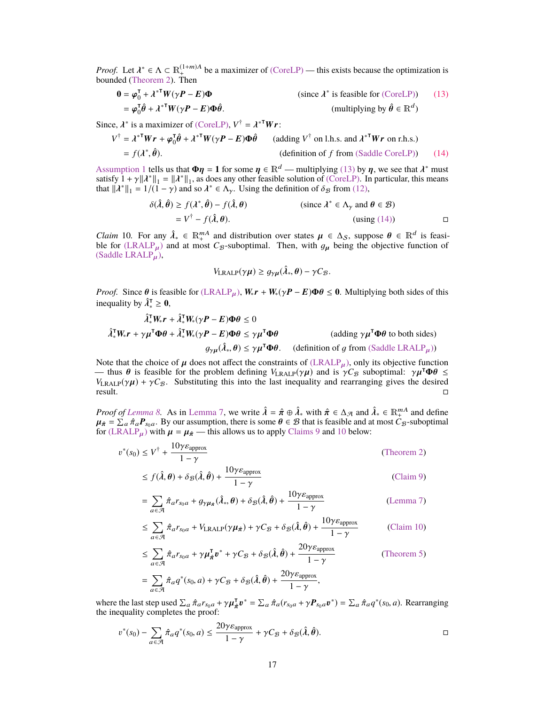*Proof.* Let  $\lambda^* \in \Lambda \subset \mathbb{R}^{(1+m)A}_+$  be a maximizer of [\(CoreLP\)](#page-4-0) — this exists because the optimization is bounded (Theorem 2). bounded [\(Theorem 2\)](#page-4-1). Then

$$
\mathbf{0} = \boldsymbol{\varphi}_0^{\mathsf{T}} + \lambda^{* \mathsf{T}} \boldsymbol{W} (\gamma \boldsymbol{P} - \boldsymbol{E}) \boldsymbol{\Phi}
$$
 (since  $\lambda^*$  is feasible for (CoreLP)) (13)  
=  $\boldsymbol{\varphi}_0^{\mathsf{T}} \boldsymbol{\hat{\theta}} + \lambda^{* \mathsf{T}} \boldsymbol{W} (\gamma \boldsymbol{P} - \boldsymbol{E}) \boldsymbol{\Phi} \boldsymbol{\hat{\theta}}$ . (multiplying by  $\boldsymbol{\hat{\theta}} \in \mathbb{R}^d$ )

Since,  $\lambda^*$  is a maximizer of [\(CoreLP\),](#page-4-0)  $V^{\dagger} = \lambda^{*T}Wr$ :

$$
V^{\dagger} = \lambda^{*T} W r + \varphi_0^T \hat{\theta} + \lambda^{*T} W (\gamma P - E) \Phi \hat{\theta}
$$
 (adding  $V^{\dagger}$  on l.h.s. and  $\lambda^{*T} W r$  on r.h.s.)  
=  $f(\lambda^*, \hat{\theta})$ . (definition of  $f$  from (Saddle CoreLP)) (14)

[Assumption 1](#page-3-2) tells us that  $\Phi \eta = 1$  for some  $\eta \in \mathbb{R}^d$  — multiplying [\(13\)](#page-16-0) by  $\eta$ , we see that  $\lambda^*$  must satisfy  $1 + \gamma \|\lambda^*\|$ ,  $= \|\lambda^*\|$ , as does any other feasible solution of (Corel P). In particular, this means satisfy  $1 + \gamma ||\lambda^*||_1 = ||\lambda^*||_1$ , as does any other feasible solution of [\(CoreLP\).](#page-4-0) In particular, this means that  $||\lambda^*||_1 = 1/(1 - \gamma)$  and so  $\lambda^* \in \Lambda$ . Using the definition of  $\delta \varphi$  from (12) that  $\|\lambda^*\|_1 = 1/(1 - \gamma)$  and so  $\lambda^* \in \Lambda_\gamma$ . Using the definition of  $\delta_{\mathcal{B}}$  from [\(12\),](#page-15-1)

$$
\delta(\hat{\lambda}, \hat{\theta}) \ge f(\lambda^*, \hat{\theta}) - f(\hat{\lambda}, \theta)
$$
 (since  $\lambda^* \in \Lambda_\gamma$  and  $\theta \in \mathcal{B}$ )  
=  $V^{\dagger} - f(\hat{\lambda}, \theta)$ . (using (14))

<span id="page-16-2"></span>*Claim* 10. For any  $\hat{\lambda}_* \in \mathbb{R}^{mA}$  and distribution over states  $\mu \in \Delta_S$ , suppose  $\theta \in \mathbb{R}^d$  is feasi-<br>ble for (LRALP<sub>ic</sub>) and at most *C*<sub>*e*-subpotimal. Then with *a<sub>c</sub>* being the objective function of</sub> ble for  $(LRALP<sub>u</sub>)$  $(LRALP<sub>u</sub>)$  and at most  $C_B$ -suboptimal. Then, with  $g<sub>u</sub>$  being the objective function of  $(Saddle LRALP<sub>u</sub>)$  $(Saddle LRALP<sub>u</sub>)$ ,

<span id="page-16-1"></span><span id="page-16-0"></span>
$$
V_{\text{LRALP}}(\gamma \mu) \ge g_{\gamma\mu}(\hat{\lambda}_*, \theta) - \gamma C_{\mathcal{B}}.
$$

*Proof.* Since  $\theta$  is feasible for [\(LRALP](#page-12-5)<sub>u</sub>),  $W_* r + W_*(\gamma P - E)\Phi \theta \le 0$ . Multiplying both sides of this inequality by  $\hat{\lambda}_*^T \geq 0$ ,

$$
\hat{\lambda}_*^{\mathsf{T}} W_* \mathbf{r} + \hat{\lambda}_*^{\mathsf{T}} W_* (\gamma \mathbf{P} - \mathbf{E}) \Phi \theta \le 0
$$
\n
$$
\hat{\lambda}_*^{\mathsf{T}} W_* \mathbf{r} + \gamma \mu^{\mathsf{T}} \Phi \theta + \hat{\lambda}_*^{\mathsf{T}} W_* (\gamma \mathbf{P} - \mathbf{E}) \Phi \theta \le \gamma \mu^{\mathsf{T}} \Phi \theta \qquad \text{(adding } \gamma \mu^{\mathsf{T}} \Phi \theta \text{ to both sides)}
$$
\n
$$
g_{\gamma \mu}(\hat{\lambda}_*, \theta) \le \gamma \mu^{\mathsf{T}} \Phi \theta. \qquad \text{(definition of } g \text{ from (Saddle LRALP\mu))}
$$

Note that the choice of  $\mu$  does not affect the constraints of  $(LRALP_{\mu})$  $(LRALP_{\mu})$ , only its objective function  $\mu$ , thus  $\theta$  is feasible for the problem defining  $V_{LPAID}(\gamma\mu)$  and is  $\gamma C_{\varphi}$  subontimal:  $\gamma\mu^{T}\Phi\theta$  < — thus  $\theta$  is feasible for the problem defining  $V_{\text{LRALP}}(\gamma \mu)$  and is  $\gamma C_B$  suboptimal:  $\gamma \mu^{\text{T}} \Phi \theta \leq$ <br> $V_{\text{LRALP}}(\gamma \mu) + \gamma C_{\varnothing}$ . Substituting this into the last inequality and rearranging gives the desired *V*<sub>LRALP</sub>( $\gamma \mu$ ) +  $\gamma C_B$ . Substituting this into the last inequality and rearranging gives the desired result. result.

*Proof of [Lemma 8.](#page-15-0)* As in [Lemma 7,](#page-13-3) we write  $\hat{\lambda} = \hat{\pi} \oplus \hat{\lambda}^*$  with  $\hat{\pi} \in \Delta_{\mathcal{A}}$  and  $\hat{\lambda}^* \in \mathbb{R}^{mA}_{+}$  and define  $\mu_{\hat{\pi}} \in \Sigma$ ,  $\hat{\pi} \cdot \mathbf{P}_{\hat{\pi}}$ , By our assumption, there is some  $\theta \in \mathcal{B}$  that is  $\mu_{\hat{\pi}} = \sum_a \hat{\pi}_a P_{s_0 a}$ . By our assumption, there is some  $\theta \in \mathcal{B}$  that is feasible and at most  $C_{\mathcal{B}}$ -suboptimal for (LRALP...) with  $\mu = \mu_{\hat{\pi}}$  — this allows us to apply Claims 9 and 10 below: for [\(LRALP](#page-12-5)<sub>u</sub>) with  $\mu = \mu_{\hat{\pi}}$  — this allows us to apply [Claims 9](#page-15-2) and [10](#page-16-2) below:

$$
v^*(s_0) \le V^{\dagger} + \frac{10\gamma \varepsilon_{\text{approx}}}{1 - \gamma}
$$
 (Theorem 2)

$$
\leq f(\hat{\lambda}, \theta) + \delta_{\mathcal{B}}(\hat{\lambda}, \hat{\theta}) + \frac{10\gamma \varepsilon_{\text{approx}}}{1 - \gamma}
$$
 (Claim 9)

$$
= \sum_{a \in \mathcal{A}} \hat{\pi}_{a} r_{s_0 a} + g_{\gamma \mu_{\hat{\pi}}}(\hat{\lambda}_*, \theta) + \delta_{\mathcal{B}}(\hat{\lambda}, \hat{\theta}) + \frac{10 \gamma \varepsilon_{\text{approx}}}{1 - \gamma}
$$
 (Lemma 7)

$$
\leq \sum_{a \in \mathcal{A}} \hat{\pi}_a r_{s_0 a} + V_{\text{LRALP}}(\gamma \mu_{\hat{\pi}}) + \gamma C_{\mathcal{B}} + \delta_{\mathcal{B}}(\hat{\lambda}, \hat{\theta}) + \frac{10 \gamma \varepsilon_{\text{approx}}}{1 - \gamma}
$$
 (Claim 10)

$$
\leq \sum_{a \in \mathcal{A}} \hat{\pi}_a r_{s_0 a} + \gamma \mu_{\hat{\pi}}^{\mathsf{T}} v^* + \gamma C_{\mathcal{B}} + \delta_{\mathcal{B}}(\hat{\lambda}, \hat{\theta}) + \frac{20 \gamma \varepsilon_{\text{approx}}}{1 - \gamma}
$$
 (Theorem 5)

$$
= \sum_{a \in \mathcal{A}} \hat{\pi}_a q^*(s_0, a) + \gamma C_{\mathcal{B}} + \delta_{\mathcal{B}}(\hat{\lambda}, \hat{\theta}) + \frac{20\gamma \varepsilon_{\text{approx}}}{1 - \gamma},
$$

where the last step used  $\sum_a \hat{\pi}_a r_{s_0a} + \gamma \mu_{\hat{\pi}}^{\dagger} \mathbf{v}^* = \sum_a \hat{\pi}_a (r_{s_0a} + \gamma \mathbf{P}_{s_0a} \mathbf{v}^*) = \sum_a \hat{\pi}_a q^*(s_0, a)$ . Rearranging the inequality completes the proof: the inequality completes the proof:

$$
\mathcal{D}^*(s_0) - \sum_{a \in \mathcal{A}} \hat{\pi}_a q^*(s_0, a) \le \frac{20\gamma \varepsilon_{\text{approx}}}{1 - \gamma} + \gamma C_{\mathcal{B}} + \delta_{\mathcal{B}}(\hat{\lambda}, \hat{\theta}).
$$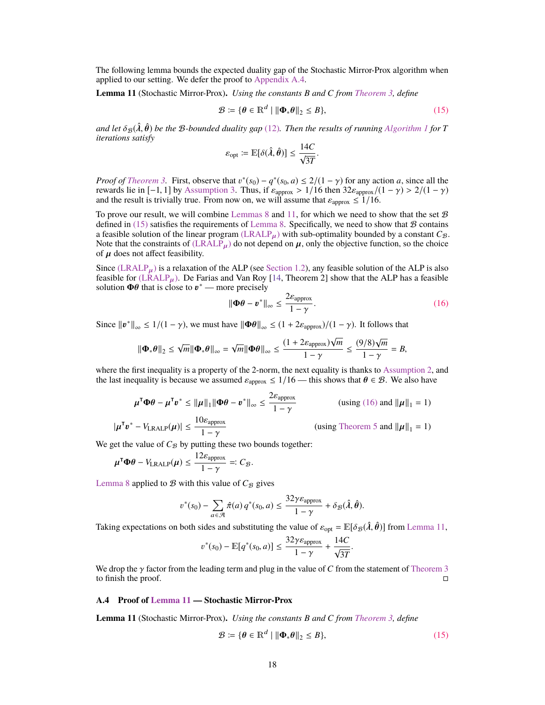The following lemma bounds the expected duality gap of the Stochastic Mirror-Prox algorithm when applied to our setting. We defer the proof to [Appendix A.4.](#page-17-1)

<span id="page-17-0"></span>**Lemma 11** (Stochastic Mirror-Prox)**.** *Using the constants B and C from [Theorem 3,](#page-5-2) define*

$$
\mathcal{B} \coloneqq \{ \boldsymbol{\theta} \in \mathbb{R}^d \mid \|\boldsymbol{\Phi}_* \boldsymbol{\theta}\|_2 \le B \},\tag{15}
$$

*and let*  $\delta_B(\hat{\lambda}, \hat{\theta})$  *be the B-bounded duality gap* [\(12\)](#page-15-1). Then the results of running [Algorithm 1](#page-6-1) for T *iterations satisfy*

<span id="page-17-2"></span>
$$
\varepsilon_{\text{opt}} \coloneqq \mathbb{E}[\delta(\hat{\lambda}, \hat{\theta})] \le \frac{14C}{\sqrt{3T}}
$$

*Proof of [Theorem 3.](#page-5-2)* First, observe that  $v^*(s_0) - q^*(s_0, a) \le 2/(1 - \gamma)$  for any action *a*, since all the rewards lie in [-1, 1] by Assumption 3. Thus if  $\varepsilon_{\text{energy}} > 1/16$  then 32 $\varepsilon_{\text{energy}}/(1 - \gamma) > 2/(1 - \gamma)$ rewards lie in [-1, 1] by [Assumption 3.](#page-3-4) Thus, if  $\varepsilon_{\text{approx}} > 1/16$  then  $32\varepsilon_{\text{approx}}/(1 - \gamma) > 2/(1 - \gamma)$ and the result is trivially true. From now on, we will assume that  $\varepsilon_{\text{approx}} \leq 1/16$ .

To prove our result, we will combine [Lemmas 8](#page-15-0) and [11,](#page-17-0) for which we need to show that the set  $\mathcal{B}$ defined in  $(15)$  satisfies the requirements of [Lemma 8.](#page-15-0) Specifically, we need to show that  $B$  contains a feasible solution of the linear program  $(LRALP<sub>u</sub>)$  $(LRALP<sub>u</sub>)$  with sub-optimality bounded by a constant  $C<sub>B</sub>$ . Note that the constraints of  $(LRALP_\mu)$  $(LRALP_\mu)$  do not depend on  $\mu$ , only the objective function, so the choice of  $\mu$  does not affect feasibility.

Since  $(LRALP<sub>\mu</sub>)$  $(LRALP<sub>\mu</sub>)$  is a relaxation of the ALP (see [Section 1.2\)](#page-2-0), any feasible solution of the ALP is also feasible for  $(LRALP<sub>\mu</sub>)$  $(LRALP<sub>\mu</sub>)$ . De Farias and Van Roy [\[14,](#page-9-3) Theorem 2] show that the ALP has a feasible solution  $\Phi\theta$  that is close to  $v^*$  — more precisely

$$
\|\mathbf{\Phi}\boldsymbol{\theta} - \boldsymbol{v}^*\|_{\infty} \le \frac{2\varepsilon_{\text{approx}}}{1-\gamma}.
$$
\n(16)

Since  $||\mathbf{v}^*||_{\infty} \le 1/(1-\gamma)$ , we must have  $||\mathbf{\Phi}\theta||_{\infty} \le (1 + 2\varepsilon_{\text{approx}})/(1-\gamma)$ . It follows that

$$
\|\mathbf{\Phi}_{*}\theta\|_{2} \leq \sqrt{m}\|\mathbf{\Phi}_{*}\theta\|_{\infty} = \sqrt{m}\|\mathbf{\Phi}\theta\|_{\infty} \leq \frac{(1+2\varepsilon_{\text{approx}})\sqrt{m}}{1-\gamma} \leq \frac{(9/8)\sqrt{m}}{1-\gamma} = B,
$$

where the first inequality is a property of the 2-norm, the next equality is thanks to [Assumption 2,](#page-3-3) and the last inequality is because we assumed  $\varepsilon_{\text{approx}} \leq 1/16$  — this shows that  $\theta \in \mathcal{B}$ . We also have

$$
\mu^{\mathsf{T}} \Phi \theta - \mu^{\mathsf{T}} v^* \le \|\mu\|_1 \|\Phi \theta - v^*\|_{\infty} \le \frac{2\varepsilon_{\text{approx}}}{1 - \gamma}
$$
 (using (16) and  $\|\mu\|_1 = 1$ )

$$
|\boldsymbol{\mu}^{\mathsf{T}} \boldsymbol{v}^* - V_{\text{LRALP}}(\boldsymbol{\mu})| \leq \frac{10 \varepsilon_{\text{approx}}}{1 - \gamma}
$$

<span id="page-17-3"></span>(using [Theorem 5](#page-12-3) and  $\|\mu\|_1 = 1$ )

We get the value of  $C_B$  by putting these two bounds together:

$$
\mu^{\mathsf{T}}\Phi\theta - V_{\text{LRALP}}(\mu) \leq \frac{12\varepsilon_{\text{approx}}}{1-\gamma} =: C_{\mathcal{B}}.
$$

[Lemma 8](#page-15-0) applied to  $B$  with this value of  $C_B$  gives

$$
v^*(s_0) - \sum_{a \in \mathcal{A}} \hat{\pi}(a) q^*(s_0, a) \leq \frac{32\gamma \varepsilon_{\text{approx}}}{1 - \gamma} + \delta_{\mathcal{B}}(\hat{\lambda}, \hat{\theta}).
$$

Taking expectations on both sides and substituting the value of  $\varepsilon_{opt} = \mathbb{E}[\delta_{\mathcal{B}}(\hat{\lambda}, \hat{\theta})]$  from [Lemma 11,](#page-17-0)

$$
v^*(s_0) - \mathbb{E}[q^*(s_0, a)] \le \frac{32\gamma \varepsilon_{\text{approx}}}{1 - \gamma} + \frac{14C}{\sqrt{3T}}.
$$

We drop the  $\gamma$  factor from the leading term and plug in the value of *C* from the statement of [Theorem 3](#page-5-2) to finish the proof. to finish the proof.

### <span id="page-17-1"></span>**A.4 Proof of [Lemma 11](#page-17-0) — Stochastic Mirror-Prox**

**Lemma 11** (Stochastic Mirror-Prox)**.** *Using the constants B and C from [Theorem 3,](#page-5-2) define*

$$
\mathcal{B} \coloneqq \{ \theta \in \mathbb{R}^d \mid \|\Phi_* \theta\|_2 \le B \},\tag{15}
$$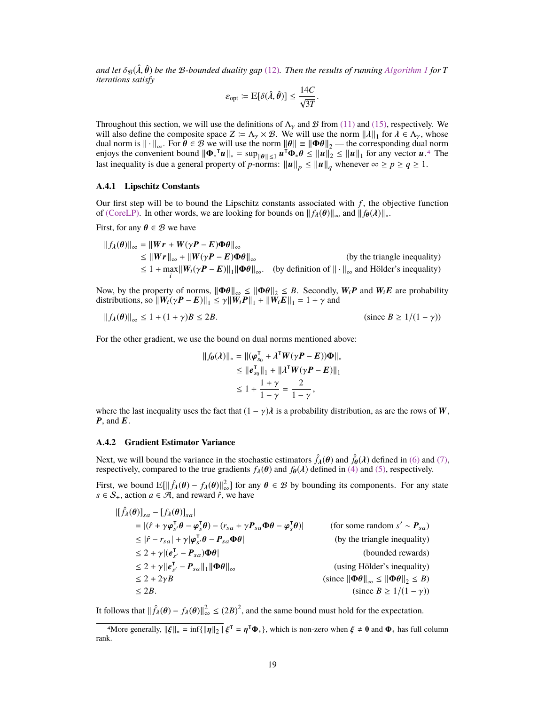*and let*  $\delta_{\mathcal{B}}(\hat{\lambda}, \hat{\theta})$  *be the B-bounded duality gap* [\(12\)](#page-15-1)*. Then the results of running [Algorithm 1](#page-6-1) for T iterations satisfy*

$$
\varepsilon_{\text{opt}} \coloneqq \mathbb{E}[\delta(\hat{\lambda}, \hat{\theta})] \le \frac{14C}{\sqrt{3T}}.
$$

Throughout this section, we will use the definitions of  $\Lambda_{\gamma}$  and  $\beta$  from [\(11\)](#page-15-3) and [\(15\),](#page-17-2) respectively. We will also define the composite space  $Z := \Lambda_{\gamma} \times \mathcal{B}$ . We will use the norm  $||\lambda||_1$  for  $\lambda \in \Lambda_{\gamma}$ , whose dual norm is  $||\cdot||_1$  for  $\theta \in \mathcal{B}$  we will use the norm  $||\theta|| = ||\Phi \theta||_2$  — the corresponding dual norm dual norm is  $\|\cdot\|_{\infty}$ . For  $\theta \in \mathcal{B}$  we will use the norm  $\|\theta\| = \|\Phi\theta\|_2$  — the corresponding dual norm enjoys the convenient bound  $\|\Phi_*^T u\|_* = \sup_{\|\theta\| \le 1} u^T \Phi_* \theta \le \|u\|_2 \le \|u\|_1$  for any vector  $u^{A}$ . The last inequality is due a general property of *p*-norms:  $||u||_p \le ||u||_q$  whenever  $\infty \ge p \ge q \ge 1$ .

### **A.4.1 Lipschitz Constants**

Our first step will be to bound the Lipschitz constants associated with *f* , the objective function of [\(CoreLP\).](#page-4-0) In other words, we are looking for bounds on  $||f_{\lambda}(\theta)||_{\infty}$  and  $||f_{\theta}(\lambda)||_{*}$ .

First, for any  $\theta \in \mathcal{B}$  we have

$$
||f_{\lambda}(\theta)||_{\infty} = ||Wr + W(\gamma P - E)\Phi\theta||_{\infty}
$$
  
\n
$$
\leq ||Wr||_{\infty} + ||W(\gamma P - E)\Phi\theta||_{\infty}
$$
 (by the triangle inequality)  
\n
$$
\leq 1 + \max_{i} ||W_{i}(\gamma P - E)||_{1} ||\Phi\theta||_{\infty}.
$$
 (by definition of  $|| \cdot ||_{\infty}$  and Hölder's inequality)

Now, by the property of norms,  $\|\Phi\theta\|_{\infty} \le \|\Phi\theta\|_{2} \le B$ . Secondly,  $W_iP$  and  $W_iE$  are probability distributions, so  $\left\|W_i(\gamma \boldsymbol{P} - \boldsymbol{E})\right\|_1 \leq \gamma \left\|W_i \boldsymbol{P}\right\|_1 + \left\|\overline{W}_i \boldsymbol{E}\right\|_1 = 1 + \gamma$  and

$$
||f_{\lambda}(\theta)||_{\infty} \le 1 + (1 + \gamma)B \le 2B.
$$
 (since  $B \ge 1/(1 - \gamma)$ )

For the other gradient, we use the bound on dual norms mentioned above:

$$
||f_{\theta}(\lambda)||_* = ||(\varphi_{S_0}^{\mathsf{T}} + \lambda^{\mathsf{T}} W(\gamma P - E))\Phi||_*
$$
  
\n
$$
\leq ||e_{S_0}^{\mathsf{T}}||_1 + ||\lambda^{\mathsf{T}} W(\gamma P - E)||_1
$$
  
\n
$$
\leq 1 + \frac{1 + \gamma}{1 - \gamma} = \frac{2}{1 - \gamma},
$$

where the last inequality uses the fact that  $(1 - \gamma)\lambda$  is a probability distribution, as are the rows of W,  $P$ , and  $E$ .

#### **A.4.2 Gradient Estimator Variance**

Next, we will bound the variance in the stochastic estimators  $\hat{f}_{\lambda}(\theta)$  and  $\hat{f}_{\theta}(\lambda)$  defined in [\(6\)](#page-5-3) and [\(7\),](#page-5-4) respectively, compared to the true gradients  $f_{\lambda}(\theta)$  and  $f_{\theta}(\lambda)$  defined in [\(4\)](#page-5-5) and [\(5\),](#page-5-6) respectively.

First, we bound  $\mathbb{E}[\|\hat{f}_{\lambda}(\theta) - f_{\lambda}(\theta)\|_{\infty}^{2}]$  for any  $\theta \in \mathcal{B}$  by bounding its components. For any state  $s \in \mathcal{S}$ . action  $a \in \mathcal{A}$  and reward  $\hat{r}$  we have *s* ∈  $S_+$ , action *a* ∈  $\mathcal{A}$ , and reward  $\hat{r}$ , we have

$$
\begin{aligned}\n|[\hat{f}_{\lambda}(\theta)]_{sa} - [f_{\lambda}(\theta)]_{sa}| \\
&= |(\hat{r} + \gamma \varphi_{s'}^{\mathsf{T}} \theta - \varphi_{s}^{\mathsf{T}} \theta) - (r_{sa} + \gamma P_{sa} \Phi \theta - \varphi_{s}^{\mathsf{T}} \theta)| \\
&\leq |\hat{r} - r_{sa}| + \gamma |\varphi_{s'}^{\mathsf{T}} \theta - P_{sa} \Phi \theta| \\
&\leq 2 + \gamma |(e_{s'}^{\mathsf{T}} - P_{sa}) \Phi \theta| \n\end{aligned}\n\qquad \qquad \text{(for some random } s' \sim P_{sa})
$$
\n
$$
\leq 2 + \gamma |(e_{s'}^{\mathsf{T}} - P_{sa})|_1 \|\Phi \theta\|_{\infty}
$$
\n
$$
\leq 2 + 2\gamma B \qquad \qquad \text{(using Hölder's inequality)}
$$
\n
$$
\leq 2 + 2\gamma B \qquad \qquad \text{(since } \|\Phi \theta\|_{\infty} \leq \|\Phi \theta\|_2 \leq B)
$$
\n
$$
\leq 2B. \qquad \qquad \text{(since } B \geq 1/(1-\gamma))
$$

It follows that  $\|\hat{f}_{\lambda}(\theta) - f_{\lambda}(\theta)\|_{\infty}^2 \le (2B)^2$ , and the same bound must hold for the expectation.

<span id="page-18-0"></span><sup>&</sup>lt;sup>4</sup>More generally,  $\|\xi\|_* = \inf \{ \|\eta\|_2 \mid \xi^\mathsf{T} = \eta^\mathsf{T} \Phi_* \}$ , which is non-zero when  $\xi \neq 0$  and  $\Phi_*$  has full column k rank.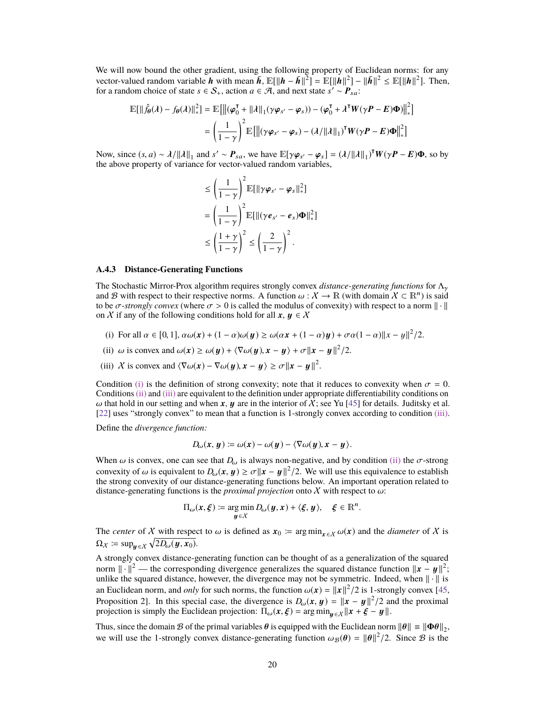We will now bound the other gradient, using the following property of Euclidean norms: for any vector-valued random variable h with mean  $\bar{h}$ ,  $\mathbb{E}[\Vert h - \bar{h} \Vert^2] = \mathbb{E}[\Vert h \Vert^2] - \Vert \bar{h} \Vert^2 \le \mathbb{E}[\Vert h \Vert^2]$ . Then, for a random choice of state  $s \in S_+$ , action  $a \in \mathcal{A}$ , and next state  $s' \sim P_{sa}$ .

$$
\mathbb{E}[\|\hat{f}_{\theta}(\lambda) - f_{\theta}(\lambda)\|_{*}^{2}] = \mathbb{E}[\|(\varphi_{0}^{\mathsf{T}} + \|\lambda\|_{1}(\gamma\varphi_{s'} - \varphi_{s})) - (\varphi_{0}^{\mathsf{T}} + \lambda^{\mathsf{T}}W(\gamma P - E)\Phi)\|_{*}^{2}]
$$

$$
= \left(\frac{1}{1-\gamma}\right)^{2} \mathbb{E}[\|(\gamma\varphi_{s'} - \varphi_{s}) - (\lambda/\|\lambda\|_{1})^{\mathsf{T}}W(\gamma P - E)\Phi\|_{*}^{2}]
$$

Now, since  $(s, a) \sim \lambda/||\lambda||_1$  and  $s' \sim P_{sa}$ , we have  $\mathbb{E}[\gamma \varphi_{s'} - \varphi_s] = (\lambda/||\lambda||_1)^T W(\gamma P - E)\Phi$ , so by the above property of variance for vector-valued random variables the above property of variance for vector-valued random variables,

$$
\leq \left(\frac{1}{1-\gamma}\right)^2 \mathbb{E}[\|\gamma\varphi_{s'}-\varphi_s\|_*^2]
$$
  
= 
$$
\left(\frac{1}{1-\gamma}\right)^2 \mathbb{E}[\|(\gamma e_{s'}-\varrho_s)\Phi\|_*^2]
$$
  

$$
\leq \left(\frac{1+\gamma}{1-\gamma}\right)^2 \leq \left(\frac{2}{1-\gamma}\right)^2.
$$

### **A.4.3 Distance-Generating Functions**

The Stochastic Mirror-Prox algorithm requires strongly convex *distance-generating functions* for <sup>Λ</sup>γ and B with respect to their respective norms. A function  $\omega : X \to \mathbb{R}$  (with domain  $X \subset \mathbb{R}^n$ ) is said to be  $\sigma$ -strongly convex (where  $\sigma > 0$  is called the modulus of convexity) with respect to a norm  $\|\cdot\|$ to be  $\sigma$ -*strongly convex* (where  $\sigma > 0$  is called the modulus of convexity) with respect to a norm  $\|\cdot\|$ on X if any of the following conditions hold for all  $x, y \in X$ 

- <span id="page-19-0"></span>(i) For all  $\alpha \in [0, 1]$ ,  $\alpha \omega(x) + (1 - \alpha) \omega(y) \ge \omega(\alpha x + (1 - \alpha)y) + \sigma \alpha (1 - \alpha) ||x - y||^2 / 2$ .
- <span id="page-19-1"></span>(ii)  $\omega$  is convex and  $\omega(x) \ge \omega(y) + \langle \nabla \omega(y), x - y \rangle + \sigma ||x - y||^2 / 2$ .
- <span id="page-19-2"></span>(iii) X is convex and  $\langle \nabla \omega(x) - \nabla \omega(y), x - y \rangle \ge \sigma ||x - y||^2$ .

Condition [\(i\)](#page-19-0) is the definition of strong convexity; note that it reduces to convexity when  $\sigma = 0$ . Conditions [\(ii\)](#page-19-1) and [\(iii\)](#page-19-2) are equivalent to the definition under appropriate differentiability conditions on ω that hold in our setting and when x, y are in the interior of X; see Yu [\[45\]](#page-11-10) for details. Juditsky et al. [\[22\]](#page-10-13) uses "strongly convex" to mean that a function is 1-strongly convex according to condition [\(iii\).](#page-19-2)

Define the *divergence function:*

$$
D_{\omega}(x, y) \coloneqq \omega(x) - \omega(y) - \langle \nabla \omega(y), x - y \rangle.
$$

When  $\omega$  is convex, one can see that  $D_{\omega}$  is always non-negative, and by condition [\(ii\)](#page-19-1) the  $\sigma$ -strong convexity of  $\omega$  is equivalent to  $D_{\omega}(x, y) \ge \sigma ||x - y||^2 / 2$ . We will use this equivalence to establish the strong convexity of our distance-generating functions below. An important operation related to the strong convexity of our distance-generating functions below. An important operation related to distance-generating functions is the *proximal projection* onto X with respect to  $\omega$ :

$$
\Pi_{\omega}(x,\xi) \coloneqq \argmin_{\mathbf{y}\in X} D_{\omega}(\mathbf{y},x) + \langle \xi, \mathbf{y} \rangle, \quad \xi \in \mathbb{R}^n.
$$

The *center* of X with respect to  $\omega$  is defined as  $x_0 := \arg \min_{x \in X} \omega(x)$  and the *diameter* of X is  $\Omega_{\chi} := \sup_{y \in \chi} \sqrt{2D_{\omega}(y, x_0)}.$ 

A strongly convex distance-generating function can be thought of as a generalization of the squared norm  $\|\cdot\|^2$  — the corresponding divergence generalizes the squared distance function  $\|\mathbf{x} - \mathbf{y}\|^2$ ;<br>unlike the squared distance, however, the divergence may not be symmetric. Indeed, when  $\|\cdot\|$  is unlike the squared distance, however, the divergence may not be symmetric. Indeed, when  $\|\cdot\|$  is an Euclidean norm, and *only* for such norms, the function  $\omega(x) = ||x||^2/2$  is 1-strongly convex [\[45,](#page-11-10) **Proposition 21** In this special case, the divergence is *D*  $(x, y) = ||x - y||^2/2$  and the proximal Proposition 2]. In this special case, the divergence is  $D_{\omega}(x, y) = ||x - y||^2 / 2$  and the proximal projection is simply the Euclidean projection:  $\Pi_{\omega}(x, \xi) = \arg \min_{y} \|\mathbf{x} + \xi - \mathbf{u}\|$ projection is simply the Euclidean projection:  $\Pi_{\omega}(x,\xi) = \arg \min_{y \in \mathcal{X}} ||x + \xi - y||$ .

Thus, since the domain B of the primal variables  $\theta$  is equipped with the Euclidean norm  $||\theta|| \equiv ||\Phi\theta||_2$ ,<br>we will use the 1 strongly convex distance generating function  $\Delta(\theta) = ||\theta||^2/2$ . Since B is the we will use the 1-strongly convex distance-generating function  $\omega_{\mathcal{B}}(\theta) = ||\theta||^2/2$ . Since  $\mathcal{B}$  is the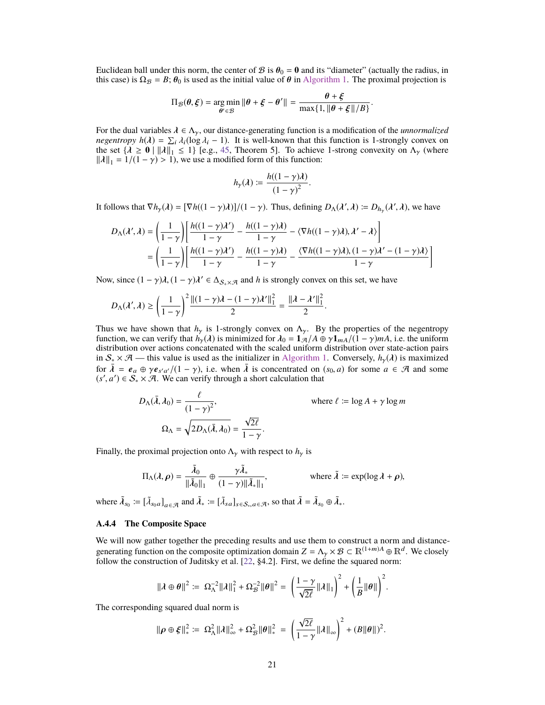Euclidean ball under this norm, the center of B is  $\theta_0 = 0$  and its "diameter" (actually the radius, in this case) is  $\Omega_B = B$ ;  $\theta_0$  is used as the initial value of  $\theta$  in [Algorithm 1.](#page-6-1) The proximal projection is

$$
\Pi_{\mathcal{B}}(\theta, \xi) = \underset{\theta' \in \mathcal{B}}{\arg \min} \|\theta + \xi - \theta'\| = \frac{\theta + \xi}{\max\{1, \|\theta + \xi\|/B\}}
$$

For the dual variables  $\lambda \in \Lambda_{\gamma}$ , our distance-generating function is a modification of the *unnormalized negentropy*  $h(\lambda) = \sum_i \lambda_i (\log \lambda_i - 1)$ . It is well-known that this function is 1-strongly convex on the set  $\{\lambda > 0 \mid ||\lambda||, \le 1\}$  fe  $\sigma$  45. Theorem 51. To achieve 1-strong convexity on  $\Delta_{\nu}$  (where the set  $\{\lambda \ge 0 \mid ||\lambda||_1 \le 1\}$  [e.g., [45,](#page-11-10) Theorem 5]. To achieve 1-strong convexity on  $\Lambda_{\gamma}$  (where  $||\lambda||_1 = 1/(1 - \gamma) > 1$ , we use a modified form of this function:

$$
h_{\gamma}(\lambda) := \frac{h((1-\gamma)\lambda)}{(1-\gamma)^2}.
$$

It follows that  $\nabla h_{\gamma}(\lambda) = [\nabla h((1 - \gamma)\lambda)]/(1 - \gamma)$ . Thus, defining  $D_{\Lambda}(\lambda', \lambda) := D_{h_{\gamma}}(\lambda', \lambda)$ , we have

$$
D_{\Lambda}(\lambda',\lambda) = \left(\frac{1}{1-\gamma}\right) \left[ \frac{h((1-\gamma)\lambda')}{1-\gamma} - \frac{h((1-\gamma)\lambda)}{1-\gamma} - \langle \nabla h((1-\gamma)\lambda), \lambda' - \lambda \rangle \right]
$$
  
= 
$$
\left(\frac{1}{1-\gamma}\right) \left[ \frac{h((1-\gamma)\lambda')}{1-\gamma} - \frac{h((1-\gamma)\lambda)}{1-\gamma} - \frac{\langle \nabla h((1-\gamma)\lambda), (1-\gamma)\lambda' - (1-\gamma)\lambda \rangle}{1-\gamma} \right]
$$

Now, since  $(1 - \gamma)\lambda$ ,  $(1 - \gamma)\lambda' \in \Delta_{\mathcal{S}_+ \times \mathcal{A}}$  and *h* is strongly convex on this set, we have

$$
D_{\Lambda}(\lambda',\lambda) \ge \left(\frac{1}{1-\gamma}\right)^2 \frac{\| (1-\gamma)\lambda - (1-\gamma)\lambda' \|_1^2}{2} = \frac{\| \lambda - \lambda' \|_1^2}{2}.
$$

Thus we have shown that  $h<sub>\gamma</sub>$  is 1-strongly convex on  $\Lambda_{\gamma}$ . By the properties of the negentropy function, we can verify that  $h_{\gamma}(\lambda)$  is minimized for  $\lambda_0 = 1_{\mathcal{A}}/A \oplus \gamma 1_{m\lambda}/(1 - \gamma)mA$ , i.e. the uniform distribution over actions concatenated with the scaled uniform distribution over state-action pairs in  $S_* \times \mathcal{A}$  — this value is used as the initializer in [Algorithm 1.](#page-6-1) Conversely,  $h_y(\lambda)$  is maximized for  $\bar{\lambda} = e_a \oplus \gamma e_{s'a'}/(1 - \gamma)$ , i.e. when  $\bar{\lambda}$  is concentrated on  $(s_0, a)$  for some  $a \in \mathcal{A}$  and some  $(s' a') \in S$ ,  $\times \mathcal{A}$  We can verify through a short calculation that  $(s', a') \in \mathcal{S}_* \times \mathcal{A}$ . We can verify through a short calculation that

$$
D_{\Lambda}(\bar{\lambda}, \lambda_0) = \frac{\ell}{(1 - \gamma)^2},
$$
 where  $\ell := \log A + \gamma \log m$   

$$
\Omega_{\Lambda} = \sqrt{2D_{\Lambda}(\bar{\lambda}, \lambda_0)} = \frac{\sqrt{2\ell}}{1 - \gamma}.
$$

Finally, the proximal projection onto  $\Lambda_{\gamma}$  with respect to  $h_{\gamma}$  is

$$
\Pi_{\Lambda}(\lambda,\rho) = \frac{\tilde{\lambda}_0}{\|\tilde{\lambda}_0\|_1} \oplus \frac{\gamma \tilde{\lambda}_*}{(1-\gamma)\|\tilde{\lambda}_*\|_1}, \qquad \text{where } \tilde{\lambda} := \exp(\log \lambda + \rho),
$$

where  $\tilde{\lambda}_{s_0} := [\tilde{\lambda}_{s_0 a}]_{a \in \mathcal{A}}$  and  $\tilde{\lambda}_* := [\tilde{\lambda}_{s a}]_{s \in \mathcal{S}_*, a \in \mathcal{A}}$ , so that  $\tilde{\lambda} = \tilde{\lambda}_{s_0} \oplus \tilde{\lambda}_*.$ 

## **A.4.4 The Composite Space**

We will now gather together the preceding results and use them to construct a norm and distancegenerating function on the composite optimization domain  $Z = \Lambda_{\gamma} \times \mathcal{B} \subset \mathbb{R}^{(1+m)A} \oplus \mathbb{R}^{d}$ . We closely follow the construction of Juditsky et al. [22, 84.2]. First, we define the squared norm: follow the construction of Juditsky et al. [\[22,](#page-10-13) §4.2]. First, we define the squared norm:

$$
\|\lambda \oplus \theta\|^2 \coloneqq \Omega_{\Lambda}^{-2} \|\lambda\|_1^2 + \Omega_{\mathcal{B}}^{-2} \|\theta\|^2 = \left(\frac{1-\gamma}{\sqrt{2\ell}} \|\lambda\|_1\right)^2 + \left(\frac{1}{B} \|\theta\|\right)^2.
$$

The corresponding squared dual norm is

$$
\|\boldsymbol{\rho}\oplus\boldsymbol{\xi}\|_{*}^{2} \coloneqq \Omega_{\Lambda}^{2} \|\boldsymbol{\lambda}\|_{\infty}^{2} + \Omega_{\mathcal{B}}^{2} \|\boldsymbol{\theta}\|_{*}^{2} = \left(\frac{\sqrt{2\ell}}{1-\gamma} \|\boldsymbol{\lambda}\|_{\infty}\right)^{2} + (B\|\boldsymbol{\theta}\|)^{2}.
$$